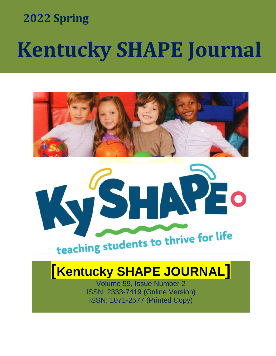# **Example 2022 Spring**  $\blacksquare$  2022 Spring

# **Kentucky SHAPE Journal**





# **[Kentucky SHAPE JOURNAL]**

Volume 59, Issue Number 2 ISSN: 2333-7419 (Online Version) ISSN: 1071-2577 (Printed Copy)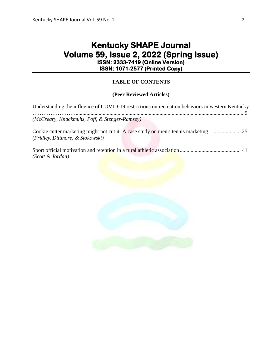# **Kentucky SHAPE Journal Volume 59, Issue 2, 2022 (Spring Issue) ISSN: 2333-7419 (Online Version) ISSN: 1071-2577 (Printed Copy)**

# **TABLE OF CONTENTS**

# **(Peer Reviewed Articles)**

| Understanding the influence of COVID-19 restrictions on recreation behaviors in western Kentucky |
|--------------------------------------------------------------------------------------------------|
| (McCreary, Knackmuhs, Poff, & Stenger-Ramsey)                                                    |
| (Fridley, Dittmore, & Stokowski)                                                                 |
| (Scott & Jordan)                                                                                 |

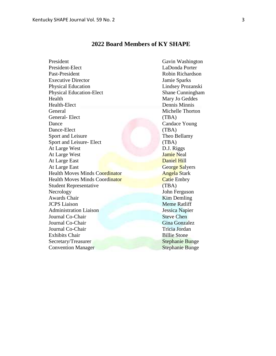# **2022 Board Members of KY SHAPE**

| President                             | Gavin Washington       |
|---------------------------------------|------------------------|
| President-Elect                       | LaDonda Porter         |
| Past-President                        | Robin Richardson       |
| <b>Executive Director</b>             | Jamie Sparks           |
| <b>Physical Education</b>             | Lindsey Prozanski      |
| <b>Physical Education-Elect</b>       | Shane Cunningham       |
| Health                                | Mary Jo Geddes         |
| Health-Elect                          | Dennis Minnis          |
| General                               | Michelle Thorton       |
| General-Elect                         | (TBA)                  |
| Dance                                 | <b>Candace Young</b>   |
| Dance-Elect                           | (TBA)                  |
| Sport and Leisure                     | Theo Bellamy           |
| Sport and Leisure- Elect              | (TBA)                  |
| At Large West                         | D.J. Riggs             |
| At Large West                         | <b>Jamie Neal</b>      |
| At Large East                         | <b>Daniel Hill</b>     |
| At Large East                         | George Salyers         |
| <b>Health Moves Minds Coordinator</b> | <b>Angela Stark</b>    |
| <b>Health Moves Minds Coordinator</b> | <b>Catie Embry</b>     |
| <b>Student Representative</b>         | (TBA)                  |
| Necrology                             | John Ferguson          |
| <b>Awards Chair</b>                   | Kim Demling            |
| <b>JCPS</b> Liaison                   | <b>Meme Ratliff</b>    |
| <b>Administration Liaison</b>         | Jessica Napier         |
| Journal Co-Chair                      | <b>Steve Chen</b>      |
| Journal Co-Chair                      | Gina Gonzalez          |
| Journal Co-Chair                      | Tricia Jordan          |
| <b>Exhibits Chair</b>                 | <b>Billie Stone</b>    |
| Secretary/Treasurer                   | <b>Stephanie Bunge</b> |
| <b>Convention Manager</b>             | <b>Stephanie Bunge</b> |
|                                       |                        |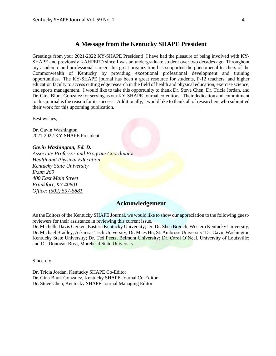# **A Message from the Kentucky SHAPE President**

Greetings from your 2021-2022 KY-SHAPE President! I have had the pleasure of being involved with KY-SHAPE and previously KAHPERD since I was an undergraduate student over two decades ago. Throughout my academic and professional career, this great organization has supported the phenomenal teachers of the Commonwealth of Kentucky by providing exceptional professional development and training opportunities. The KY-SHAPE journal has been a great resource for students, P-12 teachers, and higher education faculty to access cutting edge research in the field of health and physical education, exercise science, and sports management. I would like to take this opportunity to thank Dr. Steve Chen, Dr. Tricia Jordan, and Dr. Gina Blunt-Gonzalez for serving as our KY-SHAPE Journal co-editors. Their dedication and commitment to this journal is the reason for its success. Additionally, I would like to thank all of researchers who submitted their work for this upcoming publication.

Best wishes,

Dr. Gavin Washington 2021-2022 KY-SHAPE President

*Gavin Washington, Ed. D.*

*Associate Professor and Program Coordinator Health and Physical Education Kentucky State University Exum 269 400 East Main Street Frankfort, KY 40601 Office: (502) [597-5881](tel:(502)%20597-5881)*

# **Acknowledgement**

As the Editors of the Kentucky SHAPE Journal, we would like to show our appreciation to the following guestreviewers for their assistance in reviewing this current issue.

Dr. Michelle Davis Gerken, Eastern Kentucky University; Dr. Dr. Shea Brgoch, Western Kentucky University; Dr. Michael Bradley, Arkansas Tech University; Dr. Maes Hu, St. Ambrose University' Dr. Gavin Washington, Kentucky State University; Dr. Ted Peetz, Belmont University; Dr. Carol O'Neal, University of Louisville; and Dr. Donovan Ross, Morehead State University

Sincerely,

Dr. Tricia Jordan, Kentucky SHAPE Co-Editor Dr. Gina Blunt Gonzalez, Kentucky SHAPE Journal Co-Editor Dr. Steve Chen, Kentucky SHAPE Journal Managing Editor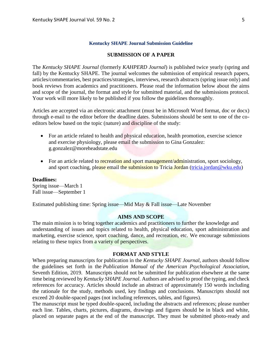### **Kentucky SHAPE Journal Submission Guideline**

# **SUBMISSION OF A PAPER**

The *Kentucky SHAPE Journal* (formerly *KAHPERD Journal*) is published twice yearly (spring and fall) by the Kentucky SHAPE. The journal welcomes the submission of empirical research papers, articles/commentaries, best practices/strategies, interviews, research abstracts (spring issue only) and book reviews from academics and practitioners. Please read the information below about the aims and scope of the journal, the format and style for submitted material, and the submissions protocol. Your work will more likely to be published if you follow the guidelines thoroughly.

Articles are accepted via an electronic attachment (must be in Microsoft Word format, doc or docx) through e-mail to the editor before the deadline dates. Submissions should be sent to one of the coeditors below based on the topic (nature) and discipline of the study:

- For an article related to health and physical education, health promotion, exercise science and exercise physiology, please email the submission to Gina Gonzalez: g.gonzalez@moreheadstate.edu
- For an article related to recreation and sport management/administration, sport sociology, and sport coaching, please email the submission to Tricia Jordan [\(tricia.jordan@wku.edu\)](mailto:tricia.jordan@wku.edu)

# **Deadlines:**

Spring issue—March 1 Fall issue—September 1

Estimated publishing time: Spring issue—Mid May & Fall issue—Late November

#### **AIMS AND SCOPE**

The main mission is to bring together academics and practitioners to further the knowledge and understanding of issues and topics related to health, physical education, sport administration and marketing, exercise science, sport coaching, dance, and recreation, etc. We encourage submissions relating to these topics from a variety of perspectives.

# **FORMAT AND STYLE**

When preparing manuscripts for publication in the *Kentucky SHAPE Journal*, authors should follow the guidelines set forth in the *Publication Manual of the American Psychological Association,*  Seventh Edition, 2019. Manuscripts should not be submitted for publication elsewhere at the same time being reviewed by *Kentucky SHAPE Journal*. Authors are advised to proof the typing, and check references for accuracy. Articles should include an abstract of approximately 150 words including the rationale for the study, methods used, key findings and conclusions. Manuscripts should not exceed 20 double-spaced pages (not including references, tables, and figures).

The manuscript must be typed double-spaced, including the abstracts and references; please number each line. Tables, charts, pictures, diagrams, drawings and figures should be in black and white, placed on separate pages at the end of the manuscript. They must be submitted photo-ready and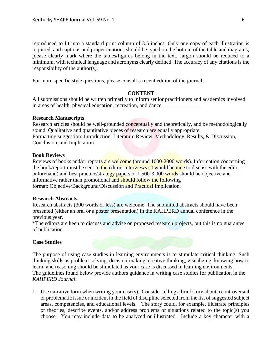reproduced to fit into a standard print column of 3.5 inches. Only one copy of each illustration is required, and captions and proper citations should be typed on the bottom of the table and diagrams; please clearly mark where the tables/figures belong in the text. Jargon should be reduced to a minimum, with technical language and acronyms clearly defined. The accuracy of any citations is the responsibility of the author(s).

For more specific style questions, please consult a recent edition of the journal.

# **CONTENT**

All submissions should be written primarily to inform senior practitioners and academics involved in areas of health, physical education, recreation, and dance.

# **Research Manuscripts**

Research articles should be well-grounded conceptually and theoretically, and be methodologically sound. Qualitative and quantitative pieces of research are equally appropriate. Formatting suggestion: Introduction, Literature Review, Methodology, Results, & Discussion, Conclusion, and Implication.

# **Book Reviews**

Reviews of books and/or reports are welcome (around 1000-2000 words). Information concerning the book/report must be sent to the editor. Interviews (it would be nice to discuss with the editor beforehand) and best practice/strategy papers of 1,500-3,000 words should be objective and informative rather than promotional and should follow the following format: Objective/Background/Discussion and Practical Implication.

# **Research Abstracts**

Research abstracts (300 words or less) are welcome. The submitted abstracts should have been presented (either an oral or a poster presentation) in the KAHPERD annual conference in the previous year.

\*The editors are keen to discuss and advise on proposed research projects, but this is no guarantee of publication.

# **Case Studies**

The purpose of using case studies in learning environments is to stimulate critical thinking. Such thinking skills as problem-solving, decision-making, creative thinking, visualizing, knowing how to learn, and reasoning should be stimulated as your case is discussed in learning environments. The guidelines found below provide authors guidance in writing case studies for publication in the *KAHPERD Journal*:

1. Use narrative form when writing your case(s). Consider telling a brief story about a controversial or problematic issue or incident in the field of discipline selected from the list of suggested subject areas, competencies, and educational levels. The story could, for example, illustrate principles or theories, describe events, and/or address problems or situations related to the topic(s) you choose. You may include data to be analyzed or illustrated. Include a key character with a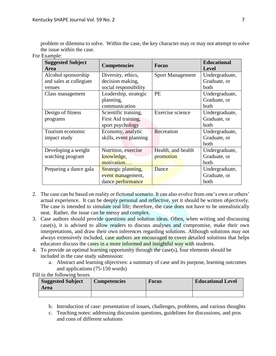problem or dilemma to solve. Within the case, the key character may or may not attempt to solve the issue within the case.

| <b>Suggested Subject</b><br><b>Area</b> | <b>Competencies</b>    | <b>Focus</b>            | <b>Educational</b><br><b>Level</b> |
|-----------------------------------------|------------------------|-------------------------|------------------------------------|
| Alcohol sponsorship                     | Diversity, ethics,     | <b>Sport Management</b> | Undergraduate,                     |
| and sales at collegiate                 | decision making,       |                         | Graduate, or                       |
| venues                                  | social responsibility  |                         | both                               |
| Class management                        | Leadership, strategic  | <b>PE</b>               | Undergraduate,                     |
|                                         | planning,              |                         | Graduate, or                       |
|                                         | communication          |                         | both                               |
| Design of fitness                       | Scientific training,   | Exercise science        | Undergraduate,                     |
| programs                                | First Aid training,    |                         | Graduate, or                       |
|                                         | sport psychology       |                         | both                               |
| Tourism economic                        | Economy, analytic      | Recreation              | Undergraduate,                     |
| impact study                            | skills, event planning |                         | Graduate, or                       |
|                                         |                        |                         | both                               |
| Developing a weight                     | Nutrition, exercise    | Health, and health      | Undergraduate,                     |
| watching program                        | knowledge,             | promotion               | Graduate, or                       |
|                                         | motivation             |                         | both                               |
| Preparing a dance gala                  | Strategic planning,    | Dance                   | Undergraduate,                     |
|                                         | event management,      |                         | Graduate, or                       |
|                                         | dance performance      |                         | both                               |

For Example:

- 2. The case can be based on reality or fictional scenario. It can also evolve from one's own or others' actual experience. It can be deeply personal and reflective, yet it should be written objectively. The case is intended to simulate real life; therefore, the case does not have to be unrealistically neat. Rather, the issue can be messy and complex.
- 3. Case authors should provide questions and solution ideas. Often, when writing and discussing case(s), it is advised to allow readers to discuss analyses and compromise, make their own interpretations, and draw their own inferences regarding solutions. Although solutions may not always extensively included, case authors are encouraged to cover detailed solutions that helps educators discuss the cases in a more informed and insightful way with students.
- 4. To provide an optimal learning opportunity through the case(s), four elements should be included in the case study submission:
	- a. Abstract and learning objectives: a summary of case and its purpose, learning outcomes and applications (75-150 words)

Fill in the following boxes

| <b>Suggested Subject</b><br>Area | <b>Competencies</b> | Focus | <b>Educational Level</b> |
|----------------------------------|---------------------|-------|--------------------------|
|                                  |                     |       |                          |

- b. Introduction of case: presentation of issues, challenges, problems, and various thoughts
- c. Teaching notes: addressing discussion questions, guidelines for discussions, and pros and cons of different solutions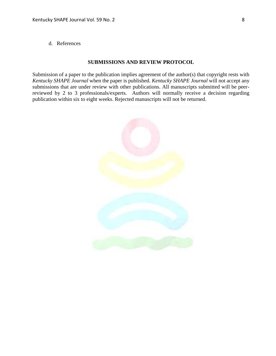d. References

# **SUBMISSIONS AND REVIEW PROTOCOL**

Submission of a paper to the publication implies agreement of the author(s) that copyright rests with *Kentucky SHAPE Journal* when the paper is published. *Kentucky SHAPE Journal* will not accept any submissions that are under review with other publications. All manuscripts submitted will be peerreviewed by 2 to 3 professionals/experts. Authors will normally receive a decision regarding publication within six to eight weeks. Rejected manuscripts will not be returned.

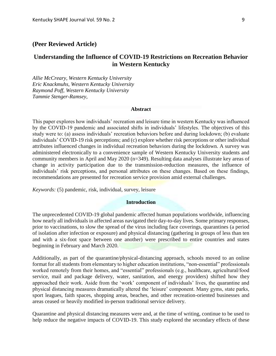# **(Peer Reviewed Article)**

# **Understanding the Influence of COVID-19 Restrictions on Recreation Behavior in Western Kentucky**

*Allie McCreary, Western Kentucky University Eric Knackmuhs, Western Kentucky University Raymond Poff, Western Kentucky University Tammie Stenger-Ramsey,* 

### **Abstract**

This paper explores how individuals' recreation and leisure time in western Kentucky was influenced by the COVID-19 pandemic and associated shifts in individuals' lifestyles. The objectives of this study were to: (a) assess individuals' recreation behaviors before and during lockdown; (b) evaluate individuals' COVID-19 risk perceptions; and (c) explore whether risk perceptions or other individual attributes influenced changes in individual recreation behaviors during the lockdown. A survey was administered electronically to a convenience sample of Western Kentucky University students and community members in April and May 2020 (n=349). Resulting data analyses illustrate key areas of change in activity participation due to the transmission-reduction measures, the influence of individuals' risk perceptions, and personal attributes on these changes. Based on these findings, recommendations are presented for recreation service provision amid external challenges.

*Keywords:* (5) pandemic, risk, individual, survey, leisure

# **Introduction**

The unprecedented COVID-19 global pandemic affected human populations worldwide, influencing how nearly all individuals in affected areas navigated their day-to-day lives. Some primary responses, prior to vaccinations, to slow the spread of the virus including face coverings, quarantines (a period of isolation after infection or exposure) and physical distancing (gathering in groups of less than ten and with a six-foot space between one another) were prescribed to entire countries and states beginning in February and March 2020.

Additionally, as part of the quarantine/physical-distancing approach, schools moved to an online format for all students from elementary to higher education institutions, "non-essential" professionals worked remotely from their homes, and "essential" professionals (e.g., healthcare, agricultural/food service, mail and package delivery, water, sanitation, and energy providers) shifted how they approached their work. Aside from the 'work' component of individuals' lives, the quarantine and physical distancing measures dramatically altered the 'leisure' component. Many gyms, state parks, sport leagues, faith spaces, shopping areas, beaches, and other recreation-oriented businesses and areas ceased or heavily modified in-person traditional service delivery.

Quarantine and physical distancing measures were and, at the time of writing, continue to be used to help reduce the negative impacts of COVID-19. This study explored the secondary effects of these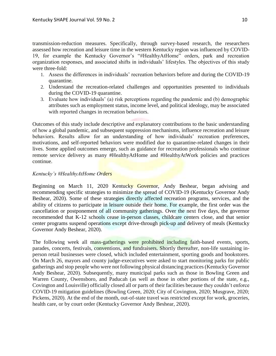transmission-reduction measures. Specifically, through survey-based research, the researchers assessed how recreation and leisure time in the western Kentucky region was influenced by COVID-19, for example the Kentucky Governor's "#HealthyAtHome" orders, park and recreation organization responses, and associated shifts in individuals' lifestyles. The objectives of this study were three-fold:

- 1. Assess the differences in individuals' recreation behaviors before and during the COVID-19 quarantine.
- 2. Understand the recreation-related challenges and opportunities presented to individuals during the COVID-19 quarantine.
- 3. Evaluate how individuals' (a) risk perceptions regarding the pandemic and (b) demographic attributes such as employment status, income level, and political ideology, may be associated with reported changes in recreation behaviors.

Outcomes of this study include descriptive and explanatory contributions to the basic understanding of how a global pandemic, and subsequent suppression mechanisms, influence recreation and leisure behaviors. Results allow for an understanding of how individuals' recreation preferences, motivations, and self-reported behaviors were modified due to quarantine-related changes in their lives. Some applied outcomes emerge, such as guidance for recreation professionals who continue remote service delivery as many #HealthyAtHome and #HealthyAtWork policies and practices continue.

# *Kentucky's #HealthyAtHome Orders*

Beginning on March 11, 2020 Kentucky Governor, Andy Beshear, began advising and recommending specific strategies to minimize the spread of COVID-19 (Kentucky Governor Andy Beshear, 2020). Some of these strategies directly affected recreation programs, services, and the ability of citizens to participate in leisure outside their home. For example, the first order was the cancellation or postponement of all community gatherings. Over the next five days, the governor recommended that K-12 schools cease in-person classes, childcare centers close, and that senior center programs suspend operations except drive-through pick-up and delivery of meals (Kentucky Governor Andy Beshear, 2020).

The following week all mass-gatherings were prohibited including faith-based events, sports, parades, concerts, festivals, conventions, and fundraisers. Shortly thereafter, non-life sustaining inperson retail businesses were closed, which included entertainment, sporting goods and bookstores. On March 26, mayors and county judge-executives were asked to start monitoring parks for public gatherings and stop people who were not following physical distancing practices (Kentucky Governor Andy Beshear, 2020). Subsequently, many municipal parks such as those in Bowling Green and Warren County, Owensboro, and Paducah (as well as those in other portions of the state, e.g., Covington and Louisville) officially closed all or parts of their facilities because they couldn't enforce COVID-19 mitigation guidelines (Bowling Green, 2020; City of Covington, 2020; Musgrave, 2020; Pickens, 2020). At the end of the month, out-of-state travel was restricted except for work, groceries, health care, or by court order (Kentucky Governor Andy Beshear, 2020).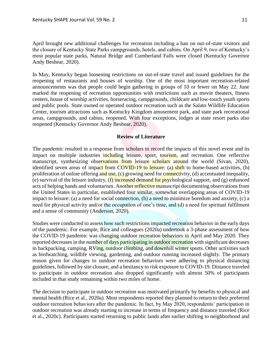April brought new additional challenges for recreation including a ban on out-of-state visitors and the closure of Kentucky State Parks campgrounds, hotels, and cabins. On April 9, two of Kentucky's most popular state parks, Natural Bridge and Cumberland Falls were closed (Kentucky Governor Andy Beshear, 2020).

In May, Kentucky began loosening restrictions on out-of-state travel and issued guidelines for the reopening of restaurants and houses of worship. One of the most important recreation-related announcements was that people could begin gathering in groups of 10 or fewer on May 22. June marked the reopening of recreation opportunities with restrictions such as movie theaters, fitness centers, house of worship activities, horseracing, campgrounds, childcare and low-touch youth sports and public pools. State owned or operated outdoor recreation such as the Salato Wildlife Education Center, tourism attractions such as Kentucky Kingdom amusement park, and state park recreational areas, campgrounds, and cabins, reopened. With four exceptions, lodges at state resort parks also reopened (Kentucky Governor Andy Beshear, 2020).

# **Review of Literature**

The pandemic resulted in a response from scholars to record the impacts of this novel event and its impact on multiple industries including leisure, sport, tourism, and recreation. One reflective manuscript, synthesizing observations from leisure scholars around the world (Sivan, 2020), identified seven areas of impact from COVID-19 to leisure: (a) shift to home-based activities, (b) proliferation of online offering and use, (c) growing need for connectivity, (d) accentuated inequality, (e) survival of the leisure industry,  $(f)$  increased demand for psychological support, and  $(g)$  enhanced acts of helping hands and voluntarism. Another reflective manuscript documenting observations from the United States in particular, established four similar, somewhat overlapping areas of COVID-19 impact to leisure: (a) a need for social connection, (b) a need to minimize boredom and anxiety, (c) a need for physical activity and/or the occupation of one's time, and (d) a need for spiritual fulfilment and a sense of community (Anderson, 2020).

Studies were conducted to assess how such restrictions impacted recreation behavior in the early days of the pandemic. For example, Rice and colleagues (2020a) undertook a 3-phase assessment of how the COVID-19 pandemic was changing outdoor recreation behaviors in April and May 2020. They reported decreases in the number of days participating in outdoor recreation with significant decreases in backpacking, camping, RVing, outdoor climbing, and downhill winter sports. Other activities such as birdwatching, wildlife viewing, gardening, and outdoor running increased slightly. The primary reason given for changes to outdoor recreation behaviors were adhering to physical distancing guidelines, followed by site closure, and a hesitancy to risk exposure to COVID-19. Distance traveled to participate in outdoor recreation also dropped significantly with almost 50% of participants included in that study remaining within two miles of home.

The decision to participate in outdoor recreation was motivated primarily by benefits to physical and mental health (Rice et al., 2020a). Most respondents reported they planned to return to their preferred outdoor recreation behaviors after the pandemic. In fact, by May 2020, respondents' participation in outdoor recreation was already starting to increase in terms of frequency and distance traveled (Rice et al., 2020c). Participants started returning to public lands after earlier shifting to neighborhood and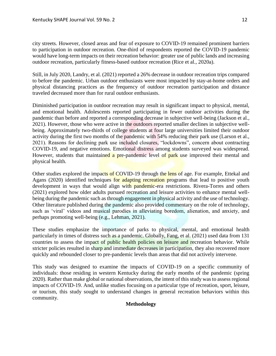city streets. However, closed areas and fear of exposure to COVID-19 remained prominent barriers to participation in outdoor recreation. One-third of respondents reported the COVID-19 pandemic would have long-term impacts on their recreation behavior: greater use of public lands and increasing outdoor recreation, particularly fitness-based outdoor recreation (Rice et al., 2020a).

Still, in July 2020, Landry, et al. (2021) reported a 26% decrease in outdoor recreation trips compared to before the pandemic. Urban outdoor enthusiasts were most impacted by stay-at-home orders and physical distancing practices as the frequency of outdoor recreation participation and distance traveled decreased more than for rural outdoor enthusiasts.

Diminished participation in outdoor recreation may result in significant impact to physical, mental, and emotional health. Adolescents reported participating in fewer outdoor activities during the pandemic than before and reported a corresponding decrease in subjective well-being (Jackson et al., 2021). However, those who were active in the outdoors reported smaller declines in subjective wellbeing. Approximately two-thirds of college students at four large universities limited their outdoor activity during the first two months of the pandemic with 54% reducing their park use (Larson et al., 2021). Reasons for declining park use included closures, "lockdowns", concern about contracting COVID-19, and negative emotions. Emotional distress among students surveyed was widespread. However, students that maintained a pre-pandemic level of park use improved their mental and physical health.

Other studies explored the impacts of COVID-19 through the lens of age. For example, Ettekal and Agans (2020) identified techniques for adapting recreation programs that lead to positive youth development in ways that would align with pandemic-era restrictions. Rivera-Torres and others (2021) explored how older adults pursued recreation and leisure activities to enhance mental wellbeing during the pandemic such as through engagement in physical activity and the use of technology. Other literature published during the pandemic also provided commentary on the role of technology, such as 'viral' videos and musical parodies in alleviating boredom, alienation, and anxiety, and perhaps promoting well-being (e.g., Lehman, 2021).

These studies emphasize the importance of parks to physical, mental, and emotional health particularly in times of distress such as a pandemic. Globally, Fang, et al. (2021) used data from 131 countries to assess the impact of public health policies on leisure and recreation behavior. While stricter policies resulted in sharp and immediate decreases in participation, they also recovered more quickly and rebounded closer to pre-pandemic levels than areas that did not actively intervene.

This study was designed to examine the impacts of COVID-19 on a specific community of individuals: those residing in western Kentucky during the early months of the pandemic (spring 2020). Rather than make global or national observations, the intent of this study was to assess regional impacts of COVID-19. And, unlike studies focusing on a particular type of recreation, sport, leisure, or tourism, this study sought to understand changes in general recreation behaviors within this community.

# **Methodology**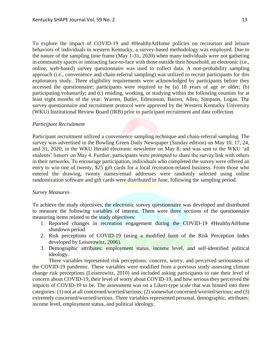To explore the impact of COVID-19 and #HealthyAtHome policies on recreation and leisure behaviors of individuals in western Kentucky, a survey-based methodology was employed. Due to the nature of the sampling time frame (May 1-31, 2020) when many individuals were not gathering in community spaces or interacting face-to-face with those outside their household, an electronic (i.e., online, web-based) survey questionnaire was used to collect data. A non-probability sampling approach (i.e., convenience and chain-referral sampling) was utilized to recruit participants for this exploratory study. Three eligibility requirements were acknowledged by participants before they accessed the questionnaire; participants were required to be (a) 18 years of age or older; (b) participating voluntarily; and (c) residing, working, or studying within the following counties for at least eight months of the year: Warren, Butler, Edmonson, Barren, Allen, Simpson, Logan. The survey questionnaire and recruitment protocol were approved by the Western Kentucky University (WKU) Institutional Review Board (IRB) prior to participant recruitment and data collection.

# *Participant Recruitment*

Participant recruitment utilized a convenience sampling technique and chain-referral sampling. The survey was advertised in the Bowling Green Daily Newspaper (Sunday edition) on May 10, 17, 24, and 31, 2020; in the WKU Herald electronic newsletter on May 8; and was sent to the WKU 'all students' listserv on May 4. Further, participants were prompted to share the survey link with others in their networks. To encourage participation, individuals who completed the survey were offered an entry to win one of twenty, \$25 gift cards for a local recreation-related business. From those who entered the drawing, twenty names/email addresses were randomly selected using online randomization software and gift cards were distributed in June, following the sampling period.

# *Survey Measures*

To achieve the study objectives, the electronic survey questionnaire was developed and distributed to measure the following variables of interest. There were three sections of the questionnaire measuring items related to the study objectives:

- 1. Reported changes in recreation engagement during the COVID-19 #HealthyAtHome shutdown period.
- 2. Risk perceptions of COVID-19 (using a modified form of the Risk Perception Index developed by Leiserowitz, 2006).
- 3. Demographic attributes: employment status, income level, and self-identified political ideology.

Three variables represented risk perceptions: concern, worry, and perceived seriousness of the COVID-19 pandemic. These variables were modified from a previous study assessing climate change risk perceptions (Leiserowitz, 2010) and included asking participants to rate their level of concern about COVID-19, their level of worry about COVID-19, and how serious they perceived the impacts of COVID-19 to be. The assessment was on a Likert-type scale that was binned into three categories: (1) not at all concerned/worried/serious; (2) somewhat concerned/worried/serious; and (3) extremely concerned/worried/serious. Three variables represented personal, demographic, attributes: income level, employment status, and political ideology.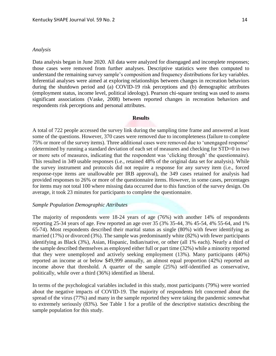#### *Analysis*

Data analysis began in June 2020. All data were analyzed for disengaged and incomplete responses; those cases were removed from further analyses. Descriptive statistics were then computed to understand the remaining survey sample's composition and frequency distributions for key variables. Inferential analyses were aimed at exploring relationships between changes in recreation behaviors during the shutdown period and (a) COVID-19 risk perceptions and (b) demographic attributes (employment status, income level, political ideology). Pearson chi-square testing was used to assess significant associations (Vaske, 2008) between reported changes in recreation behaviors and respondents risk perceptions and personal attributes.

# **Results**

A total of 722 people accessed the survey link during the sampling time frame and answered at least some of the questions. However, 370 cases were removed due to incompleteness (failure to complete 75% or more of the survey items). Three additional cases were removed due to 'unengaged response' (determined by running a standard deviation of each set of measures and checking for STD=0 in two or more sets of measures, indicating that the respondent was 'clicking through' the questionnaire). This resulted in 349 usable responses (i.e., retained 48% of the original data set for analysis). While the survey instrument and protocols did not require a response for any survey item (i.e., forced response-type items are unallowable per IRB approval), the 349 cases retained for analysis had provided responses to 26% or more of the questionnaire items. However, in some cases, percentages for items may not total 100 where missing data occurred due to this function of the survey design. On average, it took 23 minutes for participants to complete the questionnaire.

# *Sample Population Demographic Attributes*

The majority of respondents were 18-24 years of age (76%) with another 14% of respondents reporting 25-34 years of age. Few reported an age over 35 (3% 35-44, 3% 45-54, 4% 55-64, and 1% 65-74). Most respondents described their marital status as single (80%) with fewer identifying as married (17%) or divorced (3%). The sample was predominantly white (82%) with fewer participants identifying as Black (3%), Asian, Hispanic, Indian/native, or other (all 1% each). Nearly a third of the sample described themselves as employed either full or part time (32%) while a minority reported that they were unemployed and actively seeking employment (13%). Many participants (40%) reported an income at or below \$49,999 annually, an almost equal proportion (42%) reported an income above that threshold. A quarter of the sample (25%) self-identified as conservative, politically, while over a third (36%) identified as liberal.

In terms of the psychological variables included in this study, most participants (79%) were worried about the negative impacts of COVID-19. The majority of respondents felt concerned about the spread of the virus (77%) and many in the sample reported they were taking the pandemic somewhat to extremely seriously (83%). See Table 1 for a profile of the descriptive statistics describing the sample population for this study.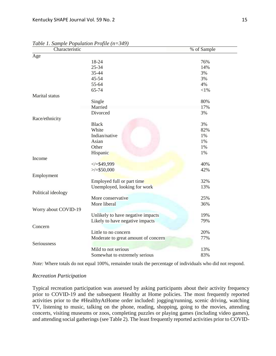| Characteristic       |                                     | % of Sample |
|----------------------|-------------------------------------|-------------|
| Age                  |                                     |             |
|                      | 18-24                               | 76%         |
|                      | $25 - 34$                           | 14%         |
|                      | 35-44                               | 3%          |
|                      | 45-54                               | 3%          |
|                      | 55-64                               | 4%          |
|                      | 65-74                               | $<$ l $%$   |
| Marital status       |                                     |             |
|                      | Single                              | 80%         |
|                      | Married                             | 17%         |
|                      | Divorced                            | 3%          |
| Race/ethnicity       |                                     |             |
|                      | <b>Black</b>                        | 3%          |
|                      | White                               | 82%         |
|                      | Indian/native                       | 1%          |
|                      | Asian                               | 1%          |
|                      | Other                               | $1\%$       |
|                      | Hispanic                            | 1%          |
| Income               |                                     |             |
|                      | $\le$ /=\$49,999                    | 40%         |
|                      | $>\times$ = \$50,000                | 42%         |
| Employment           |                                     |             |
|                      | Employed full or part time          | 32%         |
|                      | Unemployed, looking for work        | 13%         |
| Political ideology   |                                     |             |
|                      | More conservative                   | 25%         |
|                      | More liberal                        | 36%         |
| Worry about COVID-19 |                                     |             |
|                      | Unlikely to have negative impacts   | 19%         |
|                      | Likely to have negative impacts     | 79%         |
| Concern              |                                     |             |
|                      | Little to no concern                | 20%         |
|                      | Moderate to great amount of concern | 77%         |
| Seriousness          |                                     |             |
|                      | Mild to not serious                 | 13%         |
|                      | Somewhat to extremely serious       | 83%         |

*Table 1. Sample Population Profile (n=349)*

*Note:* Where totals do not equal 100%, remainder totals the percentage of individuals who did not respond.

# *Recreation Participation*

Typical recreation participation was assessed by asking participants about their activity frequency prior to COVID-19 and the subsequent Healthy at Home policies. The most frequently reported activities prior to the #HealthyAtHome order included: jogging/running, scenic driving, watching TV, listening to music, talking on the phone, reading, shopping, going to the movies, attending concerts, visiting museums or zoos, completing puzzles or playing games (including video games), and attending social gatherings (see Table 2). The least frequently reported activities prior to COVID-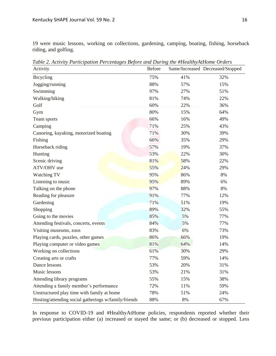19 were music lessons, working on collections, gardening, camping, boating, fishing, horseback riding, and golfing.

| Activity                                             | <b>Before</b> |     | Same/Increased Decreased/Stopped |
|------------------------------------------------------|---------------|-----|----------------------------------|
| Bicycling                                            | 75%           | 41% | 32%                              |
| Jogging/running                                      | 88%           | 57% | 15%                              |
| Swimming                                             | 97%           | 27% | 51%                              |
| Walking/hiking                                       | 81%           | 74% | 22%                              |
| Golf                                                 | 60%           | 22% | 36%                              |
| Gym                                                  | 80%           | 15% | 64%                              |
| Team sports                                          | 66%           | 16% | 49%                              |
| Camping                                              | 71%           | 25% | 43%                              |
| Canoeing, kayaking, motorized boating                | 71%           | 30% | 39%                              |
| Fishing                                              | 66%           | 35% | 29%                              |
| Horseback riding                                     | 57%           | 19% | 37%                              |
| Hunting                                              | 53%           | 22% | 30%                              |
| Scenic driving                                       | 81%           | 58% | 22%                              |
| ATV/OHV use                                          | 55%           | 24% | 29%                              |
| Watching TV                                          | 95%           | 86% | 8%                               |
| Listening to music                                   | 95%           | 89% | 6%                               |
| Talking on the phone                                 | 97%           | 88% | 8%                               |
| Reading for pleasure                                 | 91%           | 77% | 12%                              |
| Gardening                                            | 71%           | 51% | 19%                              |
| Shopping                                             | 89%           | 32% | 55%                              |
| Going to the movies                                  | 85%           | 5%  | 77%                              |
| Attending festivals, concerts, events                | 84%           | 5%  | 77%                              |
| Visiting museums, zoos                               | 83%           | 6%  | 73%                              |
| Playing cards, puzzles, other games                  | 86%           | 66% | 19%                              |
| Playing computer or video games                      | 81%           | 64% | 14%                              |
| Working on collections                               | 61%           | 30% | 29%                              |
| Creating arts or crafts                              | 77%           | 59% | 14%                              |
| Dance lessons                                        | 53%           | 20% | 31%                              |
| Music lessons                                        | 53%           | 21% | 31%                              |
| Attending library programs                           | 55%           | 15% | 38%                              |
| Attending a family member's performance              | 72%           | 11% | 59%                              |
| Unstructured play time with family at home           | 78%           | 51% | 24%                              |
| Hosting/attending social gatherings w/family/friends | 88%           | 8%  | 67%                              |

*Table 2. Activity Participation Percentages Before and During the #HealthyAtHome Orders*

In response to COVID-19 and #HealthyAtHome policies, respondents reported whether their previous participation either (a) increased or stayed the same; or (b) decreased or stopped. Less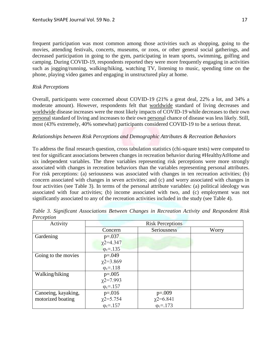frequent participation was most common among those activities such as shopping, going to the movies, attending festivals, concerts, museums, or zoos, or other general social gatherings, and decreased participation in going to the gym, participating in team sports, swimming, golfing and camping. During COVID-19, respondents reported they were more frequently engaging in activities such as jogging/running, walking/hiking, watching TV, listening to music, spending time on the phone, playing video games and engaging in unstructured play at home.

# *Risk Perceptions*

Overall, participants were concerned about COVID-19 (21% a great deal, 22% a lot, and 34% a moderate amount). However, respondents felt that worldwide standard of living decreases and worldwide disease increases were the most likely impacts of COVID-19 while decreases to their own personal standard of living and increases to their own personal chance of disease was less likely. Still, most (43% extremely, 40% somewhat) participants considered COVID-19 to be a serious threat.

# *Relationships between Risk Perceptions and Demographic Attributes & Recreation Behaviors*

To address the final research question, cross tabulation statistics (chi-square tests) were computed to test for significant associations between changes in recreation behavior during #HealthyAtHome and six independent variables. The three variables representing risk perceptions were more strongly associated with changes in recreation behaviors than the variables representing personal attributes. For risk perceptions: (a) seriousness was associated with changes in ten recreation activities; (b) concern associated with changes in seven activities; and (c) and worry associated with changes in four activities (see Table 3). In terms of the personal attribute variables: (a) political ideology was associated with four activities; (b) income associated with two, and (c) employment was not significantly associated to any of the recreation activities included in the study (see Table 4).

| Activity            | <b>Risk Perceptions</b>                        |                                                |       |
|---------------------|------------------------------------------------|------------------------------------------------|-------|
|                     | Concern                                        | Seriousness                                    | Worry |
| Gardening           | $p=.037$                                       |                                                |       |
|                     | $\chi$ 2=4.347                                 |                                                |       |
|                     | $\varphi_c = .135$                             |                                                |       |
| Going to the movies | $p=.049$                                       |                                                |       |
|                     | $\chi$ 2=3.869                                 |                                                |       |
|                     | $\varphi_c = 118$                              |                                                |       |
| Walking/hiking      | $p=.005$                                       |                                                |       |
|                     | $\chi$ 2=7.993                                 |                                                |       |
|                     | $\varphi_c = 157$                              |                                                |       |
| Canoeing, kayaking, | $p = 016$                                      | $p=.009$                                       |       |
| motorized boating   | $\chi$ 2=5.754<br>$\varphi$ <sub>c</sub> =.157 | $\chi$ 2=6.841<br>$\varphi$ <sub>c</sub> =.173 |       |
|                     |                                                |                                                |       |

*Table 3. Significant Associations Between Changes in Recreation Activity and Respondent Risk Perception*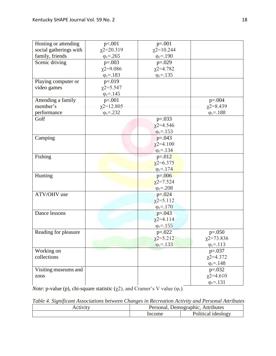| Hosting or attending   | p<.001             | $p=.001$           |                    |
|------------------------|--------------------|--------------------|--------------------|
| social gatherings with | $\chi$ 2=20.319    | $\chi$ 2=10.244    |                    |
| family, friends        | $\varphi_c = 265$  | $\varphi_c = .190$ |                    |
| Scenic driving         | $p=.003$           | $p=.029$           |                    |
|                        | $\chi$ 2=9.086     | $\chi$ 2=4.782     |                    |
|                        | $\varphi_c = 183$  | $\varphi_c = 135$  |                    |
| Playing computer or    | $p = 019$          |                    |                    |
| video games            | $x2 = 5.547$       |                    |                    |
|                        | $\varphi_c = 145$  |                    |                    |
| Attending a family     | p<.001             |                    | $p=.004$           |
| member's               | $\chi$ 2=12.805    |                    | $\chi$ 2=8.439     |
| performance            | $\varphi_c = .232$ |                    | $\varphi_c = 188$  |
| Golf                   |                    | $p=.033$           |                    |
|                        |                    | $\chi$ 2=4.546     |                    |
|                        |                    | $\varphi_c = 153$  |                    |
| Camping                |                    | $p=.043$           |                    |
|                        |                    | $\chi$ 2=4.100     |                    |
|                        |                    | $\varphi_c = 134$  |                    |
| Fishing                |                    | $p=.012$           |                    |
|                        |                    | $\chi$ 2=6.375     |                    |
|                        |                    | $\phi_c = 174$     |                    |
| Hunting                |                    | $p=.006$           |                    |
|                        |                    | $\chi$ 2=7.524     |                    |
|                        |                    | $\varphi_c = 208$  |                    |
| ATV/OHV use            |                    | $p=.024$           |                    |
|                        |                    | $\chi$ 2=5.112     |                    |
|                        |                    | $\varphi_c = 170$  |                    |
| Dance lessons          |                    | $p=.043$           |                    |
|                        |                    | $\chi$ 2=4.114     |                    |
|                        |                    | $\varphi_c = 155$  |                    |
| Reading for pleasure   |                    | $p=.022$           | $p=.050$           |
|                        |                    | $\chi$ 2=5.212     | $\chi$ 2=73.836    |
|                        |                    | $\varphi_c = .133$ | $\varphi_c = 113$  |
| Working on             |                    |                    | $p=.037$           |
| collections            |                    |                    | $\chi$ 2=4.372     |
|                        |                    |                    | $\varphi_c = 148$  |
| Visiting museums and   |                    |                    | $p=.032$           |
| zoos                   |                    |                    | $\chi$ 2=4.610     |
|                        |                    |                    | $\varphi_c = .131$ |

*Note*: p-value (p), chi-square statistic  $(\chi^2)$ , and Cramer's V value ( $\varphi_c$ ).

*Table 4. Significant Associations between Changes in Recreation Activity and Personal Attributes* 

| 1V1U | Personal | Attributes<br>Demographic,   |
|------|----------|------------------------------|
|      | ıcome    | <b>Political</b><br>ideology |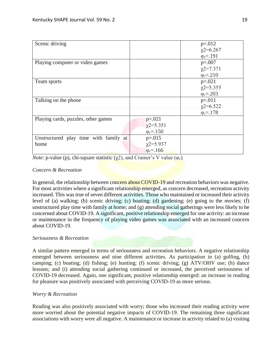| Scenic driving                        |                   | $p=.012$           |
|---------------------------------------|-------------------|--------------------|
|                                       |                   | $\chi$ 2=6.267     |
|                                       |                   | $\varphi_c = .191$ |
| Playing computer or video games       |                   | $p=.007$           |
|                                       |                   | $\chi$ 2=7.371     |
|                                       |                   | $\varphi_c = 210$  |
| Team sports                           |                   | $p=.021$           |
|                                       |                   | $\chi$ 2=5.355     |
|                                       |                   | $\varphi_c = 203$  |
| Talking on the phone                  |                   | $p = 011$          |
|                                       |                   | $\chi$ 2=6.522     |
|                                       |                   | $\varphi_c = 178$  |
| Playing cards, puzzles, other games   | $p=.021$          |                    |
|                                       | $\chi$ 2=5.351    |                    |
|                                       | $\varphi_c = 150$ |                    |
| Unstructured play time with family at | $p=.015$          |                    |
| home                                  | $\chi$ 2=5.937    |                    |
|                                       | $\phi_c = 166$    |                    |

*Note*: p-value (p), chi-square statistic  $(\overline{\chi^2})$ , and Cramer's V value ( $\varphi_c$ ).

# *Concern & Recreation*

In general, the relationship between concern about COVID-19 and recreation behaviors was negative. For most activities where a significant relationship emerged, as concern decreased, recreation activity increased. This was true of seven different activities. Those who maintained or increased their activity level of (a) walking; (b) scenic driving; (c) boating; (d) gardening; (e) going to the movies; (f) unstructured play time with family at home; and (g) attending social gatherings were less likely to be concerned about COVID-19. A significant, positive relationship emerged for one activity: an increase or maintenance in the frequency of playing video games was associated with an increased concern about COVID-19.

# *Seriousness & Recreation*

A similar pattern emerged in terms of seriousness and recreation behaviors. A negative relationship emerged between seriousness and nine different activities. As participation in (a) golfing, (b) camping; (c) boating; (d) fishing; (e) hunting; (f) scenic driving; (g) ATV/OHV use; (h) dance lessons; and (i) attending social gathering continued or increased, the perceived seriousness of COVID-19 decreased. Again, one significant, positive relationship emerged: an increase in reading for pleasure was positively associated with perceiving COVID-19 as more serious.

# *Worry & Recreation*

Reading was also positively associated with worry; those who increased their reading activity were more worried about the potential negative impacts of COVID-19. The remaining three significant associations with worry were all negative. A maintenance or increase in activity related to (a) visiting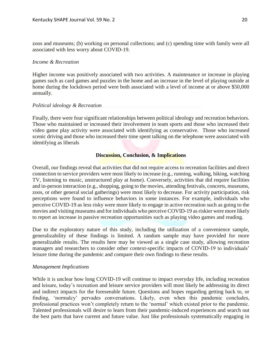zoos and museums; (b) working on personal collections; and (c) spending time with family were all associated with less worry about COVID-19.

# *Income & Recreation*

Higher income was positively associated with two activities. A maintenance or increase in playing games such as card games and puzzles in the home and an increase in the level of playing outside at home during the lockdown period were both associated with a level of income at or above \$50,000 annually.

# *Political ideology & Recreation*

Finally, there were four significant relationships between political ideology and recreation behaviors. Those who maintained or increased their involvement in team sports and those who increased their video game play activity were associated with identifying as conservative. Those who increased scenic driving and those who increased their time spent talking on the telephone were associated with identifying as liberals

# **Discussion, Conclusion, & Implications**

Overall, our findings reveal that activities that did not require access to recreation facilities and direct connection to service providers were most likely to increase (e.g., running, walking, hiking, watching TV, listening to music, unstructured play at home). Conversely, activities that did require facilities and in-person interaction (e.g., shopping, going to the movies, attending festivals, concerts, museums, zoos, or other general social gatherings) were most likely to decrease. For activity participation, risk perceptions were found to influence behaviors in some instances. For example, individuals who perceive COVID-19 as less risky were more likely to engage in active recreation such as going to the movies and visiting museums and for individuals who perceive COVID-19 as riskier were more likely to report an increase in passive recreation opportunities such as playing video games and reading.

Due to the exploratory nature of this study, including the utilization of a convenience sample, generalizability of these findings is limited. A random sample may have provided for more generalizable results. The results here may be viewed as a single case study, allowing recreation managers and researchers to consider other context-specific impacts of COVID-19 to individuals' leisure time during the pandemic and compare their own findings to these results.

# *Management Implications*

While it is unclear how long COVID-19 will continue to impact everyday life, including recreation and leisure, today's recreation and leisure service providers will most likely be addressing its direct and indirect impacts for the foreseeable future. Questions and hopes regarding getting back to, or finding, 'normalcy' pervades conversations. Likely, even when this pandemic concludes, professional practices won't completely return to the 'normal' which existed prior to the pandemic. Talented professionals will desire to learn from their pandemic-induced experiences and search out the best parts that have current and future value. Just like professionals systematically engaging in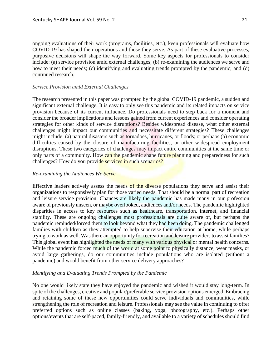ongoing evaluations of their work (programs, facilities, etc.), keen professionals will evaluate how COVID-19 has shaped their operations and those they serve. As part of these evaluative processes, purposive decisions will shape the way forward. Some key aspects for professionals to consider include: (a) service provision amid external challenges; (b) re-examining the audiences we serve and how to meet their needs; (c) identifying and evaluating trends prompted by the pandemic; and (d) continued research.

# *Service Provision amid External Challenges*

The research presented in this paper was prompted by the global COVID-19 pandemic, a sudden and significant external challenge. It is easy to only see this pandemic and its related impacts on service provision because of its current influence. Do professionals need to step back for a moment and consider the broader implications and lessons gained from current experiences and consider operating strategies for other kinds of service disruptions? Besides widespread disease, what other external challenges might impact our communities and necessitate different strategies? These challenges might include: (a) natural disasters such as tornadoes, hurricanes, or floods; or perhaps (b) economic difficulties caused by the closure of manufacturing facilities, or other widespread employment disruptions. These two categories of challenges may impact entire communities at the same time or only parts of a community. How can the pandemic shape future planning and preparedness for such challenges? How do you provide services in such scenarios?

# *Re-examining the Audiences We Serve*

Effective leaders actively assess the needs of the diverse populations they serve and assist their organizations to responsively plan for those varied needs. That should be a normal part of recreation and leisure service provision. Chances are likely the pandemic has made many in our profession aware of previously unseen, or maybe overlooked, audiences and/or needs. The pandemic highlighted disparities in access to key resources such as healthcare, transportation, internet, and financial stability. These are ongoing challenges most professionals are quite aware of, but perhaps the pandemic reminded/forced them to look beyond what they had been doing. The pandemic challenged families with children as they attempted to help supervise their education at home, while perhaps trying to work as well. Was there an opportunity for recreation and leisure providers to assist families? This global event has highlighted the needs of many with various physical or mental health concerns. While the pandemic forced much of the world at some point to physically distance, wear masks, or avoid large gatherings, do our communities include populations who are isolated (without a pandemic) and would benefit from other service delivery approaches?

# *Identifying and Evaluating Trends Prompted by the Pandemic*

No one would likely state they have enjoyed the pandemic and wished it would stay long-term. In spite of the challenges, creative and popular/preferable service provision options emerged. Embracing and retaining some of these new opportunities could serve individuals and communities, while strengthening the role of recreation and leisure. Professionals may see the value in continuing to offer preferred options such as online classes (baking, yoga, photography, etc.). Perhaps other options/events that are self-paced, family-friendly, and available to a variety of schedules should find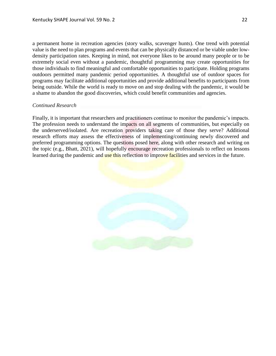a permanent home in recreation agencies (story walks, scavenger hunts). One trend with potential value is the need to plan programs and events that can be physically distanced or be viable under lowdensity participation rates. Keeping in mind, not everyone likes to be around many people or to be extremely social even without a pandemic, thoughtful programming may create opportunities for those individuals to find meaningful and comfortable opportunities to participate. Holding programs outdoors permitted many pandemic period opportunities. A thoughtful use of outdoor spaces for programs may facilitate additional opportunities and provide additional benefits to participants from being outside. While the world is ready to move on and stop dealing with the pandemic, it would be a shame to abandon the good discoveries, which could benefit communities and agencies.

# *Continued Research*

Finally, it is important that researchers and practitioners continue to monitor the pandemic's impacts. The profession needs to understand the impacts on all segments of communities, but especially on the underserved/isolated. Are recreation providers taking care of those they serve? Additional research efforts may assess the effectiveness of implementing/continuing newly discovered and preferred programming options. The questions posed here, along with other research and writing on the topic (e.g., Bhatt, 2021), will hopefully encourage recreation professionals to reflect on lessons learned during the pandemic and use this reflection to improve facilities and services in the future.

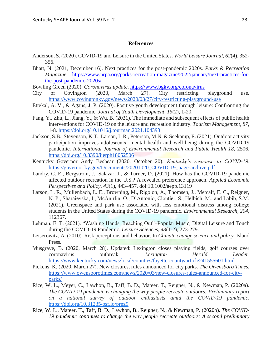# **References**

- Anderson, S. (2020). COVID-19 and Leisure in the United States. *World Leisure Journal, 62*(4), 352- 356.
- Bhatt, N. (2021, December 16). Next practices for the post-pandemic 2020s. *Parks & Recreation Magazine*. [https://www.nrpa.org/parks-recreation-magazine/2022/january/next-practices-for](https://www.nrpa.org/parks-recreation-magazine/2022/january/next-practices-for-the-post-pandemic-2020s/)[the-post-pandemic-2020s/](https://www.nrpa.org/parks-recreation-magazine/2022/january/next-practices-for-the-post-pandemic-2020s/)
- Bowling Green (2020). *Coronavirus update*. <https://www.bgky.org/coronavirus>
- City of Covington (2020, March 27). City restricting playground use. <https://www.covingtonky.gov/news/2020/03/27/city-restricting-playground-use>
- Ettekal, A. V., & Agans, J. P. (2020). Positive youth development through leisure: Confronting the COVID-19 pandemic. *Journal of Youth Development, 15*(2), 1-20.
- Fang, Y., Zhu, L., Jiang, Y., & Wu, B. (2021). The immediate and subsequent effects of public health interventions for COVID-19 on the leisure and recreation industry. *Tourism Management, 87*, 1-8. <https://doi.org/10.1016/j.tourman.2021.104393>
- Jackson, S.B., Stevenson, K.T., Larson, L.R., Peterson, M.N. & Seekamp, E. (2021). Outdoor activity participation improves adolescents' mental health and well-being during the COVID-19 pandemic. *International Journal of Environmental Research and Public Health 18*, 2506[.](https://doi.org/10.3390/ijerph18052506) <https://doi.org/10.3390/ijerph18052506>
- Kentucky Governor Andy Beshear (2020, October 20). *Kentucky's response to COVID-19*. [https://governor.ky.gov/Documents/20201020\\_COVID-19\\_page-archive.pdf](https://governor.ky.gov/Documents/20201020_COVID-19_page-archive.pdf)
- Landry, C. E., Bergstrom, J., Salazar, J., & Turner, D. (2021). How has the COVID-19 pandemic affected outdoor recreation in the U.S.? A revealed preference approach. *Applied Economic Perspectives and Policy, 43*(1), 443–457. doi:10.1002/aepp.13119
- Larson, L. R., Mullenbach, L. E., Browning, M., Rigolon, A., Thomsen, J., Metcalf, E. C., Reigner, N. P., Sharaievska, I., McAnirlin, O., D'Antonio, Cloutier, S., Helbich, M., and Labib, S.M. (2021). Greenspace and park use associated with less emotional distress among college students in the United States during the COVID-19 pandemic. *Environmental Research, 204*, 112367.
- Lehman, E. T. (2021). "Washing Hands, Reaching Out"–Popular Music, Digital Leisure and Touch during the COVID-19 Pandemic. *Leisure Sciences, 43*(1-2), 273-279.
- Leiserowitz, A. (2010). Risk perceptions and behavior. In *Climate change science and policy*. Island Press.
- Musgrave, B. (2020, March 28). Updated: Lexington closes playing fields, golf courses over coronavirus outbreak. *Lexington Herald Leader*. <https://www.kentucky.com/news/local/counties/fayette-county/article241555601.html>
- Pickens, K. (2020, March 27). New closures, rules announced for city parks. *The Owensboro Times.*  [https://www.owensborotimes.com/news/2020/03/new-closures-rules-announced-for-city](https://www.owensborotimes.com/news/2020/03/new-closures-rules-announced-for-city-parks/)[parks/](https://www.owensborotimes.com/news/2020/03/new-closures-rules-announced-for-city-parks/)
- Rice, W. L., Meyer, C., Lawhon, B., Taff, B. D., Mateer, T., Reigner, N., & Newman, P. (2020a). *The COVID-19 pandemic is changing the way people recreate outdoors: Preliminary report on a national survey of outdoor enthusiasts amid the COVID-19 pandemic*. <https://doi.org/10.31235/osf.io/prnz9>
- Rice, W. L., Mateer, T., Taff, B. D., Lawhon, B., Reigner, N., & Newman, P. (2020b). *The COVID-19 pandemic continues to change the way people recreate outdoors: A second preliminary*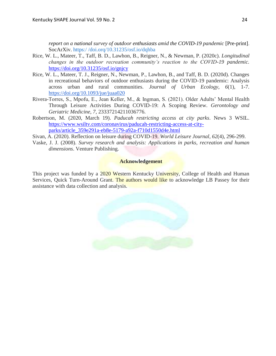*report on a national survey of outdoor enthusiasts amid the COVID-19 pandemic* [Pre-print]. SocArXiv. https:/ /doi.orq/10.31235/osf.io/dqhba

- Rice, W. L., Mateer, T., Taff, B. D., Lawhon, B., Reigner, N., & Newman, P. (2020c). *Longitudinal changes in the outdoor recreation community's reaction to the COVID-19 pandemic.*  <https://doi.org/10.31235/osf.io/gnjcy>
- Rice, W. L., Mateer, T. J., Reigner, N., Newman, P., Lawhon, B., and Taff, B. D. (2020d). Changes in recreational behaviors of outdoor enthusiasts during the COVID-19 pandemic: Analysis across urban and rural communities. *Journal of Urban Ecology, 6*(1), 1-7[.](https://doi.org/10.1093/jue/juaa020) <https://doi.org/10.1093/jue/juaa020>
- Rivera-Torres, S., Mpofu, E., Jean Keller, M., & Ingman, S. (2021). Older Adults' Mental Health Through Leisure Activities During COVID-19: A Scoping Review. *Gerontology and Geriatric Medicine, 7*, 23337214211036776.
- Robertson, M. (2020, March 19). *Paducah restricting access at city parks*. News 3 WSIL. [https://www.wsiltv.com/coronavirus/paducah-restricting-access-at-city](https://www.wsiltv.com/coronavirus/paducah-restricting-access-at-city-parks/article_359e291a-eb8e-5179-a92a-f710d1550d4e.html)[parks/article\\_359e291a-eb8e-5179-a92a-f710d1550d4e.html](https://www.wsiltv.com/coronavirus/paducah-restricting-access-at-city-parks/article_359e291a-eb8e-5179-a92a-f710d1550d4e.html)
- Sivan, A. (2020). Reflection on leisure during COVID-19. *World Leisure Journal, 62*(4), 296-299.
- Vaske, J. J. (2008). *Survey research and analysis: Applications in parks, recreation and human dimensions*. Venture Publishing.

# **Acknowledgement**

This project was funded by a 2020 Western Kentucky University, College of Health and Human Services, Quick Turn-Around Grant. The authors would like to acknowledge LB Passey for their assistance with data collection and analysis.

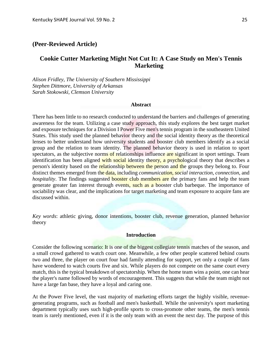# **(Peer-Reviewed Article)**

# **Cookie Cutter Marketing Might Not Cut It: A Case Study on Men's Tennis Marketing**

*Alison Fridley, The University of Southern Mississippi Stephen Dittmore, University of Arkansas Sarah Stokowski, Clemson University*

#### **Abstract**

There has been little to no research conducted to understand the barriers and challenges of generating awareness for the team. Utilizing a case study approach, this study explores the best target market and exposure techniques for a Division I Power Five men's tennis program in the southeastern United States. This study used the planned behavior theory and the social identity theory as the theoretical lenses to better understand how university students and booster club members identify as a social group and the relation to team identity. The planned behavior theory is used in relation to sport spectators, as the subjective norms of relationships influence are significant in sport settings. Team identification has been aligned with social identity theory, a psychological theory that describes a person's identity based on the relationship between the person and the groups they belong to. Four distinct themes emerged from the data, including *communication*, *social interaction*, *connection*, and *hospitality*. The findings suggested **booster club members are the primary fans and help the team** generate greater fan interest through events, such as a booster club barbeque. The importance of sociability was clear, and the implications for target marketing and team exposure to acquire fans are discussed within.

*Key words*: athletic giving, donor intentions, booster club, revenue generation, planned behavior theory

# **Introduction**

Consider the following scenario: It is one of the biggest collegiate tennis matches of the season, and a small crowd gathered to watch court one. Meanwhile, a few other people scattered behind courts two and three, the player on court four had family attending for support, yet only a couple of fans have wondered to watch courts five and six. While players do not compete on the same court every match, this is the typical breakdown of spectatorship. When the home team wins a point, one can hear the player's name followed by words of encouragement. This suggests that while the team might not have a large fan base, they have a loyal and caring one.

At the Power Five level, the vast majority of marketing efforts target the highly visible, revenuegenerating programs, such as football and men's basketball. While the university's sport marketing department typically uses such high-profile sports to cross-promote other teams, the men's tennis team is rarely mentioned, even if it is the only team with an event the next day. The purpose of this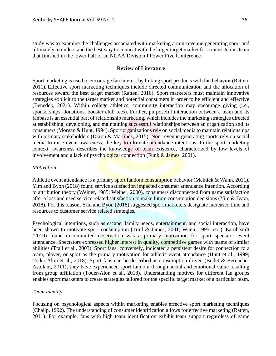study was to examine the challenges associated with marketing a non-revenue generating sport and ultimately to understand the best way to connect with the larger target market for a men's tennis team that finished in the lower half of an NCAA Division I Power Five Conference.

# **Review of Literature**

Sport marketing is used to encourage fan interest by linking sport products with fan behavior (Ratten, 2011). Effective sport marketing techniques include directed communication and the allocation of resources toward the best target market (Ratten, 2016). Sport marketers must maintain innovative strategies explicit to the target market and potential consumers in order to be efficient and effective (Benedek, 2021). Within college athletics, community interaction may encourage giving (i.e., sponsorships, donations, booster club fees). Further, purposeful interaction between a team and its fanbase is an essential part of relationship marketing, which includes the marketing strategies directed at establishing, developing, and maintaining successful relationships between an organization and its consumers (Morgan & Hunt, 1994). Sport organizations rely on social media to maintain relationships with primary stakeholders (Dixon & Martinez, 2015). Non-revenue generating sports rely on social media to raise event awareness, the key to ultimate attendance intentions. In the sport marketing context, awareness describes the knowledge of team existence, characterized by low levels of involvement and a lack of psychological connection (Funk  $&$  James, 2001).

# *Motivation*

Athletic event attendance is a primary sport fandom consumption behavior (Melnick & Wann, 2011). Yim and Byon (2018) found service satisfaction impacted consumer attendance intention. According to attribution theory (Weiner, 1985; Weiner, 2000), consumers disconnected from game satisfaction after a loss and used service related satisfaction to make future consumption decisions (Yim & Byon, 2018). For this reason, Yim and Byon (2018) suggested sport marketers designate increased time and resources to customer service related strategies.

Psychological intentions, such as escape, family needs, entertainment, and social interaction, have been shown to motivate sport consumption (Trail & James, 2001; Wann, 1995, etc.). Earnheardt (2010) found uncommitted observation was a primary motivation for sport spectator event attendance. Spectators expressed higher interest in quality, competitive games with teams of similar abilities (Trail et al., 2003). Sport fans, conversely, indicated a persistent desire for connection to a team, player, or sport as the primary motivation for athletic event attendance (Hunt et al., 1999; Toder-Alon et al., 2018). Sport fans can be described as consumption driven (Bodet & Bernache-Asollant, 2011); they have experienced sport fandom through social and emotional value resulting from group affiliation (Toder-Alon et al., 2018). Understanding motives for different fan groups enables sport marketers to create strategies tailored for the specific target market of a particular team.

# *Team Identity*

Focusing on psychological aspects within marketing enables effective sport marketing techniques (Chalip, 1992). The understanding of consumer identification allows for effective marketing (Ratten, 2011). For example, fans with high team identification exhibit team support regardless of game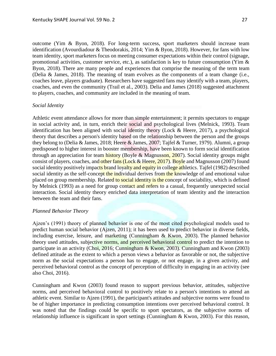outcome (Yim & Byon, 2018). For long-term success, sport marketers should increase team identification (Avourdiadour & Theodorakis, 2014; Yim & Byon, 2018). However, for fans with low team identity, sport marketers focus on meeting consumer expectations within their control (signage, promotional activities, customer service, etc.), as satisfaction is key to future consumption (Yim & Byon, 2018). There are many people and experiences that comprise the meaning of the term team (Delia & James, 2018). The meaning of team evolves as the components of a team change (i.e., coaches leave, players graduate). Researchers have suggested fans may identify with a team, players, coaches, and even the community (Trail et al., 2003). Delia and James (2018) suggested attachment

to players, coaches, and community are included in the meaning of team.

# *Social Identity*

Athletic event attendance allows for more than simple entertainment; it permits spectators to engage in social activity and, in turn, enrich their social and psychological lives (Melnick, 1993). Team identification has been aligned with social identity theory (Lock & Heere, 2017), a psychological theory that describes a person's identity based on the relationship between the person and the groups they belong to (Delia & James, 2018; Heere & James, 2007; Tajfel & Turner, 1979). Alumni, a group predisposed to higher interest in booster membership, have been known to form social identification through an appreciation for team history (Boyle & Magnusson, 2007). Social identity groups might consist of players, coaches, and other fans (Lock & Heere, 2017). Boyle and Magnusson (2007) found social identity positively impacts brand loyalty and equity in college athletics. Tajfel (1982) described social identity as the self-concept the individual derives from the knowledge of and emotional value placed on group membership. Related to social identity is the concept of sociability, which is defined by Melnick (1993) as a need for group contact and refers to a casual, frequently unexpected social interaction. Social identity theory enriched data interpretation of team identity and the interaction between the team and their fans.

#### *Planned Behavior Theory*

Ajzen's (1991) theory of planned behavior is one of the most cited psychological models used to predict human social behavior (Ajzen, 2011); it has been used to predict behavior in diverse fields, including exercise, leisure, and marketing (Cunningham & Kwon, 2003). The planned behavior theory used attitudes, subjective norms, and perceived behavioral control to predict the intention to participate in an activity (Choi, 2016; Cunningham & Kwon, 2003). Cunningham and Kwon (2003) defined attitude as the extent to which a person views a behavior as favorable or not, the subjective norm as the social expectations a person has to engage, or not engage, in a given activity, and perceived behavioral control as the concept of perception of difficulty in engaging in an activity (see also Choi, 2016).

Cunningham and Kwon (2003) found reason to support previous behavior, attitudes, subjective norms, and perceived behavioral control to positively relate to a person's intentions to attend an athletic event. Similar to Ajzen (1991), the participant's attitudes and subjective norms were found to be of higher importance in predicting consumption intentions over perceived behavioral control. It was noted that the findings could be specific to sport spectators, as the subjective norms of relationship influence is significant in sport settings (Cunningham & Kwon, 2003). For this reason,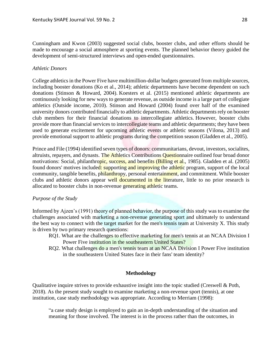Cunningham and Kwon (2003) suggested social clubs, booster clubs, and other efforts should be made to encourage a social atmosphere at sporting events. The planned behavior theory guided the development of semi-structured interviews and open-ended questionnaires.

# *Athletic Donors*

College athletics in the Power Five have multimillion-dollar budgets generated from multiple sources, including booster donations (Ko et al., 2014); athletic departments have become dependent on such donations (Stinson & Howard, 2004). Koesters et al. (2015) mentioned athletic departments are continuously looking for new ways to generate revenue, as outside income is a large part of collegiate athletics (Outside income, 2010). Stinson and Howard (2004) found over half of the examined university donors contributed financially to athletic departments. Athletic departments rely on booster club members for their financial donations to intercollegiate athletics. However, booster clubs provide more than financial services to intercollegiate teams and athletic departments; they have been used to generate excitement for upcoming athletic events or athletic seasons (Vilona, 2013) and provide emotional support to athletic programs during the competition season (Gladden et al., 2005).

Prince and File (1994) identified seven types of donors: communitarians, devout, investors, socialites, altruists, repayers, and dynasts. The Athletics Contributions Questionnaire outlined four broad donor motivations: Social, philanthropic, success, and benefits (Billing et al., 1985). Gladden et al. (2005) found donors' motives included: supporting and improving the athletic program, support of the local community, tangible benefits, philanthropy, personal entertainment, and commitment. While booster clubs and athletic donors appear well documented in the literature, little to no prior research is allocated to booster clubs in non-revenue generating athletic teams.

# *Purpose of the Study*

Informed by Ajzen's (1991) theory of planned behavior, the purpose of this study was to examine the challenges associated with marketing a non-revenue generating sport and ultimately to understand the best way to connect with the target market for the men's tennis team at University X. This study is driven by two primary research questions:

- RQ1. What are the challenges to effective marketing for men's tennis at an NCAA Division I Power Five institution in the southeastern United States?
- RQ2. What challenges do a men's tennis team at an NCAA Division I Power Five institution in the southeastern United States face in their fans' team identity?

# **Methodology**

Qualitative inquire strives to provide exhaustive insight into the topic studied (Creswell & Poth, 2018). As the present study sought to examine marketing a non-revenue sport (tennis), at one institution, case study methodology was appropriate. According to Merriam (1998):

"a case study design is employed to gain an in-depth understanding of the situation and meaning for those involved. The interest is in the process rather than the outcomes, in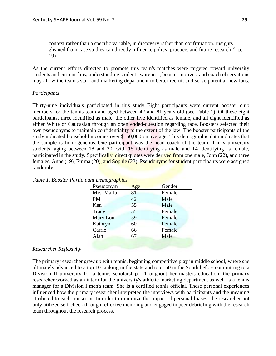context rather than a specific variable, in discovery rather than confirmation. Insights gleaned from case studies can directly influence policy, practice, and future research." (p. 19)

As the current efforts directed to promote this team's matches were targeted toward university students and current fans, understanding student awareness, booster motives, and coach observations may allow the team's staff and marketing department to better recruit and serve potential new fans.

# *Participants*

Thirty-nine individuals participated in this study. Eight participants were current booster club members for the tennis team and aged between 42 and 81 years old (see Table 1). Of these eight participants, three identified as male, the other five identified as female, and all eight identified as either White or Caucasian through an open ended-question regarding race. Boosters selected their own pseudonyms to maintain confidentiality to the extent of the law. The booster participants of the study indicated household incomes over \$150,000 on average. This demographic data indicates that the sample is homogeneous. One participant was the head coach of the team. Thirty university students, aging between 18 and 30, with 15 identifying as male and 14 identifying as female, participated in the study. Specifically, direct quotes were derived from one male, John (22), and three females, Anne (19), Emma (20), and Sophie (23). Pseudonyms for student participants were assigned randomly.

| Pseudonym  | Age | Gender |
|------------|-----|--------|
| Mrs. Marla | 81  | Female |
| <b>PM</b>  | 42  | Male   |
| Ken        | 55  | Male   |
| Tracy      | 55  | Female |
| Mary Lou   | 59  | Female |
| Kathryn    | 60  | Female |
| Carrie     | 66  | Female |
| Alan       | 67  | Male   |
|            |     |        |

*Table 1. Booster Participant Demographics*

# *Researcher Reflexivity*

The primary researcher grew up with tennis, beginning competitive play in middle school, where she ultimately advanced to a top 10 ranking in the state and top 150 in the South before committing to a Division II university for a tennis scholarship. Throughout her masters education, the primary researcher worked as an intern for the university's athletic marketing department as well as a tennis manager for a Division I men's team. She is a certified tennis official. These personal experiences influenced how the primary researcher interpreted the interviews with participants and the meaning attributed to each transcript. In order to minimize the impact of personal biases, the researcher not only utilized self-check through reflexive memoing and engaged in peer debriefing with the research team throughout the research process.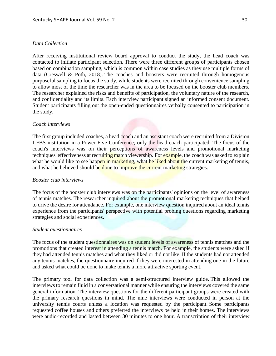## *Data Collection*

After receiving institutional review board approval to conduct the study, the head coach was contacted to initiate participant selection. There were three different groups of participants chosen based on combination sampling, which is common within case studies as they use multiple forms of data (Creswell & Poth, 2018). The coaches and boosters were recruited through homogenous purposeful sampling to focus the study, while students were recruited through convenience sampling to allow most of the time the researcher was in the area to be focused on the booster club members. The researcher explained the risks and benefits of participation, the voluntary nature of the research, and confidentiality and its limits. Each interview participant signed an informed consent document. Student participants filling out the open-ended questionnaires verbally consented to participation in the study.

### *Coach interviews*

The first group included coaches, a head coach and an assistant coach were recruited from a Division I FBS institution in a Power Five Conference; only the head coach participated. The focus of the coach's interviews was on their perceptions of awareness levels and promotional marketing techniques' effectiveness at recruiting match viewership. For example, the coach was asked to explain what he would like to see happen in marketing, what he liked about the current marketing of tennis, and what he believed should be done to improve the current marketing strategies.

#### *Booster club interviews*

The focus of the booster club interviews was on the participants' opinions on the level of awareness of tennis matches. The researcher inquired about the promotional marketing techniques that helped to drive the desire for attendance. For example, one interview question inquired about an ideal tennis experience from the participants' perspective with potential probing questions regarding marketing strategies and social experiences.

# *Student questionnaires*

The focus of the student questionnaires was on student levels of awareness of tennis matches and the promotions that created interest in attending a tennis match. For example, the students were asked if they had attended tennis matches and what they liked or did not like. If the students had not attended any tennis matches, the questionnaire inquired if they were interested in attending one in the future and asked what could be done to make tennis a more attractive sporting event.

The primary tool for data collection was a semi-structured interview guide. This allowed the interviews to remain fluid in a conversational manner while ensuring the interviews covered the same general information. The interview questions for the different participant groups were created with the primary research questions in mind. The nine interviews were conducted in person at the university tennis courts unless a location was requested by the participant. Some participants requested coffee houses and others preferred the interviews be held in their homes. The interviews were audio-recorded and lasted between 30 minutes to one hour. A transcription of their interview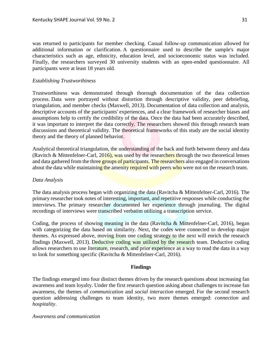was returned to participants for member checking. Casual follow-up communication allowed for additional information or clarification. A questionnaire used to describe the sample's major characteristics such as age, ethnicity, education level, and socioeconomic status was included. Finally, the researchers surveyed 30 university students with an open-ended questionnaire. All participants were at least 18 years old.

# *Establishing Trustworthiness*

Trustworthiness was demonstrated through thorough documentation of the data collection process. Data were portrayed without distortion through descriptive validity, peer debriefing, triangulation, and member checks (Maxwell, 2013). Documentation of data collection and analysis, descriptive accounts of the participants' experiences, and a clear framework of researcher biases and assumptions help to certify the credibility of the data. Once the data had been accurately described, it was important to interpret the data correctly. The researchers showed this through research team discussions and theoretical validity. The theoretical frameworks of this study are the social identity theory and the theory of planned behavior.

Analytical theoretical triangulation, the understanding of the back and forth between theory and data (Ravitch & Mittenfelner-Carl,  $2016$ ), was used by the researchers through the two theoretical lenses and data gathered from the three groups of participants. The researchers also engaged in conversations about the data while maintaining the amenity required with peers who were not on the research team.

# *Data Analysis*

The data analysis process began with organizing the data (Ravitcha & Mittenfelner-Carl, 2016). The primary researcher took notes of interesting, important, and repetitive responses while conducting the interviews. The primary researcher documented her experience through journaling. The digital recordings of interviews were transcribed verbatim utilizing a transcription service.

Coding, the process of showing meaning in the data (Ravitcha & Mittenfelner-Carl, 2016), began with categorizing the data based on similarity. Next, the codes were connected to develop major themes. As expressed above, moving from one coding strategy to the next will enrich the research findings (Maxwell, 2013). Deductive coding was utilized by the research team. Deductive coding allows researchers to use literature, research, and prior experience as a way to read the data in a way to look for something specific (Ravitcha & Mittenfelner-Carl, 2016).

# **Findings**

The findings emerged into four distinct themes driven by the research questions about increasing fan awareness and team loyalty. Under the first research question asking about challenges to increase fan awareness, the themes of *communication* and *social interaction* emerged. For the second research question addressing challenges to team identity, two more themes emerged: *connection* and *hospitality*.

# *Awareness and communication*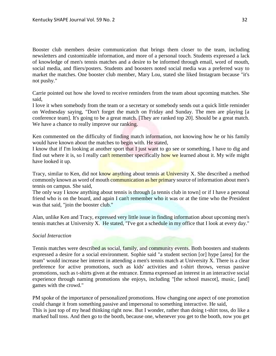Booster club members desire communication that brings them closer to the team, including newsletters and customizable information, and more of a personal touch. Students expressed a lack of knowledge of men's tennis matches and a desire to be informed through email, word of mouth, social media, and fliers/posters. Students and boosters noted social media was a preferred way to market the matches. One booster club member, Mary Lou, stated she liked Instagram because "it's not pushy."

Carrie pointed out how she loved to receive reminders from the team about upcoming matches. She said,

I love it when somebody from the team or a secretary or somebody sends out a quick little reminder on Wednesday saying, "Don't forget the match on Friday and Sunday. The men are playing [a conference team]. It's going to be a great match. [They are ranked top 20]. Should be a great match. We have a chance to really improve our ranking.

Ken commented on the difficulty of finding match information, not knowing how he or his family would have known about the matches to begin with. He stated,

I know that if I'm looking at another sport that I just want to go see or something, I have to dig and find out where it is, so I really can't remember specifically how we learned about it. My wife might have looked it up.

Tracy, similar to Ken, did not know anything about tennis at University X. She described a method commonly known as word of mouth communication as her primary source of information about men's tennis on campus. She said,

The only way I know anything about tennis is through [a tennis club in town] or if I have a personal friend who is on the board, and again I can't remember who it was or at the time who the President was that said, "join the booster club."

Alan, unlike Ken and Tracy, expressed very little issue in finding information about upcoming men's tennis matches at University X. He stated, "I've got a schedule in my office that I look at every day."

# *Social Interaction*

Tennis matches were described as social, family, and community events. Both boosters and students expressed a desire for a social environment. Sophie said "a student section [or] hype [area] for the team" would increase her interest in attending a men's tennis match at University X. There is a clear preference for active promotions, such as kids' activities and t-shirt throws, versus passive promotions, such as t-shirts given at the entrance. Emma expressed an interest in an interactive social experience through naming promotions she enjoys, including "[the school mascot], music, [and] games with the crowd."

PM spoke of the importance of personalized promotions. How changing one aspect of one promotion could change it from something passive and impersonal to something interactive. He said, This is just top of my head thinking right now. But I wonder, rather than doing t-shirt toss, do like a marked ball toss. And then go to the booth, because one, whenever you get to the booth, now you get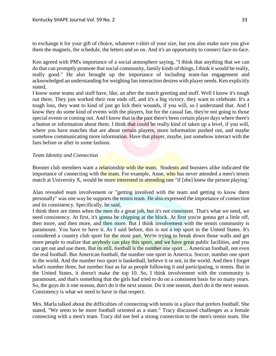to exchange it for your gift of choice, whatever t-shirt of your size, but you also make sure you give them the magnets, the schedule, the letters and so on. And it's an opportunity to connect face-to-face.

Ken agreed with PM's importance of a social atmosphere saying, "I think that anything that we can do that can promptly promote that social community, family kinds of things, I think it would be really, really good." He also brought up the importance of including team-fan engagement and acknowledged an understanding for weighing fan interaction desires with player needs. Ken explicitly stated,

I know some teams and stuff have, like, an after the match greeting and stuff. Well I know it's tough out there. They just worked their rear ends off, and it's a big victory, they want to celebrate. It's a tough loss, they want to kind of just go lick their wounds, if you will, so I understand that. And I know they do some kind of events with the players, but for the casual fan, they're not going to those special events or coming out. And I know that in the past there's been certain player days where there's a button or information about them. I think that could be really kind of taken up a level, if you will, where you have matches that are about certain players, more information pushed out, and maybe somehow communicating more information. Have that player, maybe, just somehow interact with the fans before or after in some fashion.

# *Team Identity and Connection*

Booster club members want a relationship with the team. Students and boosters alike indicated the importance of connecting with the team. For example, Anne, who has never attended a men's tennis match at University X, would be more interested in attending one "if [she] knew the person playing.'

Alan revealed team involvement or "getting involved with the team and getting to know them personally" was one way he supports the tennis team. He also expressed the importance of connection and its consistency. Specifically, he said,

I think there are times when the men do a great job, but it's not consistent. That's what we need, we need consistency. At first, it's gonna be chipping at the block. At first you're gonna get a little off, then more, and then more, and then more. But I think involvement with the tennis community is paramount. You have to have it. As I said before, this is not a top sport in the United States. It's considered a country club sport for the most part. We're trying to break down those walls and get more people to realize that anybody can play this sport, and we have great public facilities, and you can get out and use them. But its still, football is the number one sport ... American football, not even the real football. But American football, the number one sport in America. Soccer, number one sport in the world. And the number two sport is basketball, believe it or not, in the world. And then I forget what's number three, but number four as far as people following it and participating, is tennis. But in the United States, it doesn't make the top 10. So, I think involvement with the community is paramount, and that's something that the girls had tried to do on a consistent basis for so many years. So, the guys do it one season, don't do it the next season. Do it one season, don't do it the next season. Consistency is what we need to have in that respect.

Mrs. Marla talked about the difficulties of connecting with tennis in a place that prefers football. She stated, "We seem to be more football oriented as a state." Tracy discussed challenges as a female connecting with a men's team. Tracy did not feel a strong connection to the men's tennis team. She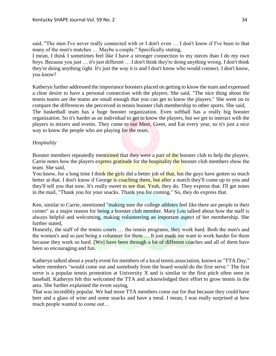said, "The men I've never really connected with or I don't even … I don't know if I've been to that many of the men's matches … Maybe a couple." Specifically stating,

I mean, I think I sometimes feel like I have a stronger connection to my nieces than I do my own boys. Because you just … it's just different … I don't think they're doing anything wrong. I don't think they're doing anything right. It's just the way it is and I don't know who would connect. I don't know, you know?

Katheryn further addressed the importance boosters placed on getting to know the team and expressed a clear desire to have a personal connection with the players. She said, "The nice thing about the tennis teams are the teams are small enough that you can get to know the players." She went on to compare the differences she perceived in tennis booster club membership to other sports. She said, The basketball team has a huge booster organization. Even softball has a really big booster

organization. So it's harder as an individual to get to know the players, but we get to interact with the players in mixers and events. They come to our Meet, Greet, and Eat every year, so it's just a nice way to know the people who are playing for the team.

# *Hospitality*

Booster members repeatedly mentioned that they were a part of the booster club to help the players. Carrie notes how the players express gratitude for the hospitality the booster club members show the team. She said,

You know, for a long time I think the girls did a better job of that, but the guys have gotten so much better at that. I don't know if George is coaching them, but after a match they'll come up to you and they'll tell you that now. It's really sweet to see that. Yeah, they do. They express that. I'll get notes in the mail, "Thank you for your snacks. Thank you for coming." So, they do express that.

Ken, similar to Carrie, mentioned "making sure the college athletes feel like there are people in their corner" as a major reason for being a booster club member. Mary Lou talked about how the staff is always helpful and welcoming, making volunteering an important aspect of her membership. She further stated,

Honestly, the staff of the tennis courts … the tennis programs, they work hard. Both the men's and the women's and so just being a volunteer for them … It just made me want to work harder for them because they work so hard. **[We]** have been through a lot of different coaches and all of them have been so encouraging and fun.

Katheryn talked about a yearly event for members of a local tennis association, known as "TTA Day," where members "would come out and somebody from the board would do the first serve." The first serve is a popular tennis promotion at University X and is similar to the first pitch often seen in baseball. Katheryn felt this welcomed the TTA and acknowledged their effort to grow tennis in the area. She further explained the event saying,

That was incredibly popular. We had more TTA members come out for that because they could have beer and a glass of wine and some snacks and have a meal. I mean, I was really surprised at how much people wanted to come out…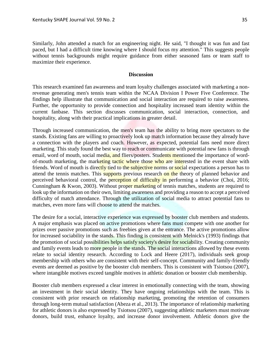Similarly, John attended a match for an engineering night. He said, "I thought it was fun and fast paced, but I had a difficult time knowing where I should focus my attention." This suggests people without tennis backgrounds might require guidance from either seasoned fans or team staff to maximize their experience.

# **Discussion**

This research examined fan awareness and team loyalty challenges associated with marketing a nonrevenue generating men's tennis team within the NCAA Division I Power Five Conference. The findings help illustrate that communication and social interaction are required to raise awareness. Further, the opportunity to provide connection and hospitality increased team identity within the current fanbase. This section discusses communication, social interaction, connection, and hospitality, along with their practical implications in greater detail.

Through increased communication, the men's team has the ability to bring more spectators to the stands. Existing fans are willing to proactively look up match information because they already have a connection with the players and coach. However, as expected, potential fans need more direct marketing. This study found the best way to reach or communicate with potential new fans is through email, word of mouth, social media, and fliers/posters. Students mentioned the importance of wordof-mouth marketing, the marketing tactic where those who are interested in the event share with friends. Word of mouth is directly tied to the subjective norms or social expectations a person has to attend the tennis matches. This supports previous research on the theory of planned behavior and perceived behavioral control, the perception of difficulty in performing a behavior (Choi, 2016; Cunningham & Kwon, 2003). Without proper marketing of tennis matches, students are required to look up the information on their own, limiting awareness and providing a reason to accept a perceived difficulty of match attendance. Through the utilization of social media to attract potential fans to matches, even more fans will choose to attend the matches.

The desire for a social, interactive experience was expressed by booster club members and students. A major emphasis was placed on active promotions where fans must compete with one another for prizes over passive promotions such as freebies given at the entrance. The active promotions allow for increased sociability in the stands. This finding is consistent with Melnick's (1993) findings that the promotion of social possibilities helps satisfy society's desire for sociability. Creating community and family events leads to more people in the stands. The social interactions allowed by these events relate to social identity research. According to Lock and Heere (2017), individuals seek group membership with others who are consistent with their self-concept. Community and family-friendly events are deemed as positive by the booster club members. This is consistent with Tsiotsou (2007), where intangible motives exceed tangible motives in athletic donation or booster club membership.

Booster club members expressed a clear interest in emotionally connecting with the team, showing an investment in their social identity. They have ongoing relationships with the team. This is consistent with prior research on relationship marketing, promoting the retention of consumers through long-term mutual satisfaction (Abeza et al., 2013). The importance of relationship marketing for athletic donors is also expressed by Tsiotsou (2007), suggesting athletic marketers must motivate donors, build trust, enhance loyalty, and increase donor involvement. Athletic donors give the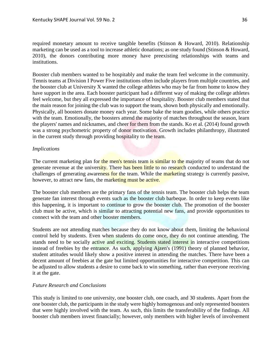required monetary amount to receive tangible benefits (Stinson & Howard, 2010). Relationship marketing can be used as a tool to increase athletic donations; as one study found (Stinson & Howard, 2010), the donors contributing more money have preexisting relationships with teams and institutions.

Booster club members wanted to be hospitably and make the team feel welcome in the community. Tennis teams at Division I Power Five institutions often include players from multiple countries, and the booster club at University X wanted the college athletes who may be far from home to know they have support in the area. Each booster participant had a different way of making the college athletes feel welcome, but they all expressed the importance of hospitality. Booster club members stated that the main reason for joining the club was to support the team, shown both physically and emotionally. Physically, all boosters donate money each year. Some bake the team goodies, while others practice with the team. Emotionally, the boosters attend the majority of matches throughout the season, learn the players' names and nicknames, and cheer for them from the stands. Ko et al. (2014) found growth was a strong psychometric property of donor motivation. Growth includes philanthropy, illustrated in the current study through providing hospitality to the team.

# *Implications*

The current marketing plan for the men's tennis team is similar to the majority of teams that do not generate revenue at the university. There has been little to no research conducted to understand the challenges of generating awareness for the team. While the marketing strategy is currently passive, however, to attract new fans, the marketing must be active.

The booster club members are the primary fans of the tennis team. The booster club helps the team generate fan interest through events such as the booster club barbeque. In order to keep events like this happening, it is important to continue to grow the booster club. The promotion of the booster club must be active, which is similar to attracting potential new fans, and provide opportunities to connect with the team and other booster members.

Students are not attending matches because they do not know about them, limiting the behavioral control held by students. Even when students do come once, they do not continue attending. The stands need to be socially active and exciting. Students stated interest in interactive competitions instead of freebies by the entrance. As such, applying Ajzen's (1991) theory of planned behavior, student attitudes would likely show a positive interest in attending the matches. There have been a decent amount of freebies at the gate but limited opportunities for interactive competition. This can be adjusted to allow students a desire to come back to win something, rather than everyone receiving it at the gate.

# *Future Research and Conclusions*

This study is limited to one university, one booster club, one coach, and 30 students. Apart from the one booster club, the participants in the study were highly homogenous and only represented boosters that were highly involved with the team. As such, this limits the transferability of the findings. All booster club members invest financially; however, only members with higher levels of involvement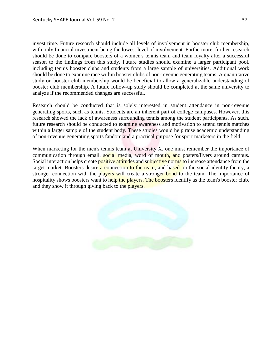invest time. Future research should include all levels of involvement in booster club membership, with only financial investment being the lowest level of involvement. Furthermore, further research should be done to compare boosters of a women's tennis team and team loyalty after a successful season to the findings from this study. Future studies should examine a larger participant pool, including tennis booster clubs and students from a large sample of universities. Additional work should be done to examine race within booster clubs of non-revenue generating teams. A quantitative study on booster club membership would be beneficial to allow a generalizable understanding of booster club membership. A future follow-up study should be completed at the same university to analyze if the recommended changes are successful.

Research should be conducted that is solely interested in student attendance in non-revenue generating sports, such as tennis. Students are an inherent part of college campuses. However, this research showed the lack of awareness surrounding tennis among the student participants. As such, future research should be conducted to examine awareness and motivation to attend tennis matches within a larger sample of the student body. These studies would help raise academic understanding of non-revenue generating sports fandom and a practical purpose for sport marketers in the field.

When marketing for the men's tennis team at University X, one must remember the importance of communication through email, social media, word of mouth, and posters/flyers around campus. Social interaction helps create positive attitudes and subjective norms to increase attendance from the target market. Boosters desire a connection to the team, and based on the social identity theory, a stronger connection with the players will create a stronger bond to the team. The importance of hospitality shows boosters want to help the players. The boosters identify as the team's booster club, and they show it through giving back to the players.

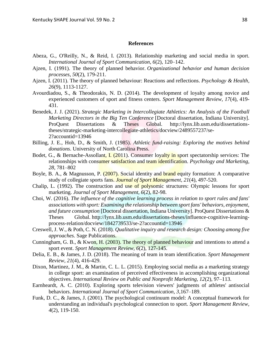# **References**

- Abeza, G., O'Reilly, N., & Reid, I. (2013). Relationship marketing and social media in sport. *International Journal of Sport Communication, 6*(2), 120–142.
- Ajzen, I. (1991). The theory of planned behavior. *Organizational behavior and human decision processes*, *50*(2), 179-211.
- Ajzen, I. (2011). The theory of planned behaviour: Reactions and reflections. *Psychology & Health, 26*(9), 1113-1127.
- Avourdiadou, S., & Theodorakis, N. D. (2014). The development of loyalty among novice and experienced customers of sport and fitness centers. *Sport Management Review, 17*(4), 419- 431.
- Benedek, J. J. (2021). *Strategic Marketing in Intercollegiate Athletics: An Analysis of the Football Marketing Directors in the Big Ten Conference* [Doctoral dissertation, Indiana University]. ProQuest Dissertations & Theses Global. http://lynx.lib.usm.edu/dissertationstheses/strategic-marketing-intercollegiate-athletics/docview/2489557237/se-2?accountid=13946
- Billing, J. E., Hoh, D., & Smith, J. (1985). *Athletic fund-raising: Exploring the motives behind donations*. University of North Carolina Press.
- Bodet, G., & Bernache-Assollant, I. (2011). Consumer loyalty in sport spectatorship services: The relationships with consumer satisfaction and team identification. *Psychology and Marketing, 28*, 781–802
- Boyle, B. A., & Magnusson, P. (2007). Social identity and brand equity formation: A comparative study of collegiate sports fans. *Journal of Sport Management, 21*(4), 497-520.
- Chalip, L. (1992). The construction and use of polysomic structures: Olympic lessons for sport marketing. *Journal of Sport Management, 6*(2), 82-98.
- Choi, W. (2016). *The influence of the cognitive learning process in relation to sport rules and fans' associations with sport: Examining the relationship between sport fans' behaviors, enjoyment, and future consumption* [Doctoral dissertation, Indiana University]. ProQuest Dissertations & Theses Global. http://lynx.lib.usm.edu/dissertations-theses/influence-cognitive-learningprocess-relation/docview/1842739533/se-2?accountid=13946
- Creswell, J. W., & Poth, C. N. (2018). *Qualitative inquiry and research design: Choosing among five approaches*. Sage Publications.
- Cunningham, G. B., & Kwon, H. (2003). The theory of planned behaviour and intentions to attend a sport event. *Sport Management Review, 6*(2), 127-145.
- Delia, E. B., & James, J. D. (2018). The meaning of team in team identification. *Sport Management Review, 21*(4), 416-429.
- Dixon, Martinez, J. M., & Martin, C. L. L. (2015). Employing social media as a marketing strategy in college sport: an examination of perceived effectiveness in accomplishing organizational objectives. *International Review on Public and Nonprofit Marketing, 12*(2), 97–113.
- Earnheardt, A. C. (2010). Exploring sports television viewers' judgments of athletes' antisocial behaviors. *International Journal of Sport Communication, 3*,167–189.
- Funk, D. C., & James, J. (2001). The psychological continuum model: A conceptual framework for understanding an individual's psychological connection to sport. *Sport Management Review, 4*(2), 119-150.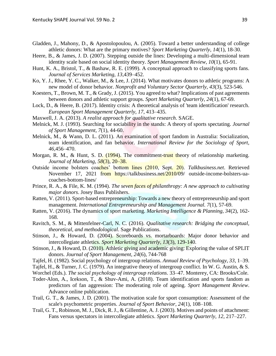- Gladden, J., Mahony, D., & Apostolopoulou, A. (2005). Toward a better understanding of college athletic donors: What are the primary motives? *Sport Marketing Quarterly, 14*(1), 18-30.
- Heere, B., & James, J. D. (2007). Stepping outside the lines: Developing a multi-dimensional team identity scale based on social identity theory. *Sport Management Review, 10*(1), 65-91.
- Hunt, K. A., Bristol, T., & Bashaw, R. E. (1999). A conceptual approach to classifying sports fans. *Journal of Services Marketing, 13*,439–452.
- Ko, Y. J., Rhee, Y. C., Walker, M., & Lee, J. (2014). What motivates donors to athletic programs: A new model of donor behavior. *Nonprofit and Voluntary Sector Quarterly, 43*(3), 523-546.
- Koesters, T., Brown, M. T., & Grady, J. (2015). You agreed to what? Implications of past agreements between donors and athletic support groups. *Sport Marketing Quarterly, 24*(1), 67-69.
- Lock, D., & Heere, B. (2017). Identity crisis: A theoretical analysis of 'team identification' research. *European Sport Management Quarterly, 17*, 413–435.
- Maxwell, J. A. (2013). *A realist approach for qualitative research*. SAGE.
- Melnick, M. J. (1993). Searching for sociability in the stands: A theory of sports spectating. *Journal of Sport Management, 7*(1), 44-60.
- Melnick, M., & Wann, D. L. (2011). An examination of sport fandom in Australia: Socialization, team identification, and fan behavior. *International Review for the Sociology of Sport, 46*,456–470.
- Morgan, R. M., & Hunt, S. D. (1994). The commitment-trust theory of relationship marketing. *Journal of Marketing, 58*(3), 20–38.
- Outside income bolsters coaches' bottom lines (2010, Sept. 20). *Talkbusiness.net*. Retrieved November 17, 2021 from https://talkbusiness.net/2010/09/ outside-income-bolsters-uacoaches-bottom-lines/
- Prince, R. A., & File, K. M. (1994). *The seven faces of philanthropy: A new approach to cultivating major donors*. Josey Bass Publishers.
- Ratten, V. (2011). Sport-based entrepreneurship: Towards a new theory of entrepreneurship and sport management. *International Entrepreneurship and Management Journal. 7*(1), 57-69.
- Ratten, V. (2016). The dynamics of sport marketing. *Marketing Intelligence & Planning, 34*(2), 162- 168.
- Ravitch, S. M., & Mittenfelner-Carl, N. C. (2016). *Qualitative research: Bridging the conceptual, theoretical, and methodological*. Sage Publications.
- Stinson, J., & Howard, D. (2004). Scoreboards vs. mortarboards: Major donor behavior and intercollegiate athletics. *Sport Marketing Quarterly, 13*(3), 129-140.
- Stinson, J., & Howard, D. (2010). Athletic giving and academic giving: Exploring the value of SPLIT donors. *Journal of Sport Management, 24*(6), 744-768
- Tajfel, H. (1982). Social psychology of intergroup relations. *Annual Review of Psychology, 33*, 1–39.
- Tajfel, H., & Turner, J. C. (1979). An integrative theory of intergroup conflict. In W. G. Austin, & S.

Worchel (Eds.). *The social psychology of intergroup relations*. 33–47. Monterey, CA: Brooks/Cole.

- Toder-Alon, A., Icekson, T., & Shuv-Ami, A. (2018). Team identification and sports fandom as predictors of fan aggression: The moderating role of ageing. *Sport Management Review*. Advance online publication.
- Trail, G. T., & James, J. D. (2001). The motivation scale for sport consumption: Assessment of the scale's psychometric properties. *Journal of Sport Behavior, 24*(1), 108–108.
- Trail, G. T., Robinson, M. J., Dick, R. J., & Gillentine, A. J. (2003). Motives and points of attachment: Fans versus spectators in intercollegiate athletics. *Sport Marketing Quarterly, 12*, 217–227.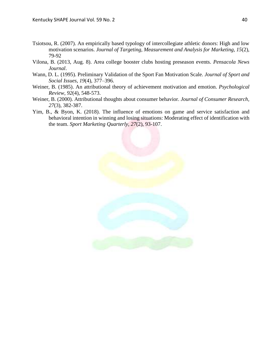- Tsiotsou, R. (2007). An empirically based typology of intercollegiate athletic donors: High and low motivation scenarios. *Journal of Targeting, Measurement and Analysis for Marketing, 15*(2), 79-92
- Vilona, B. (2013, Aug. 8). Area college booster clubs hosting preseason events. *Pensacola News Journal*.
- Wann, D. L. (1995). Preliminary Validation of the Sport Fan Motivation Scale. *Journal of Sport and Social Issues, 19*(4), 377–396.
- Weiner, B. (1985). An attributional theory of achievement motivation and emotion. *Psychological Review, 92*(4), 548-573.
- Weiner, B. (2000). Attributional thoughts about consumer behavior. *Journal of Consumer Research, 27*(3), 382-387.
- Yim, B., & Byon, K. (2018). The influence of emotions on game and service satisfaction and behavioral intention in winning and losing situations: Moderating effect of identification with the team. *Sport Marketing Quarterly, 27*(2), 93-107.

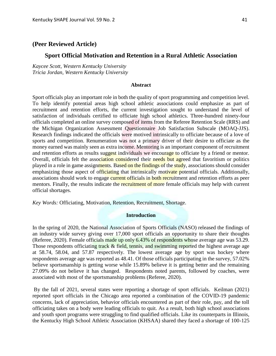# **Sport Official Motivation and Retention in a Rural Athletic Association**

*Kaycee Scott, Western Kentucky University Tricia Jordan, Western Kentucky University*

# **Abstract**

Sport officials play an important role in both the quality of sport programming and competition level. To help identify potential areas high school athletic associations could emphasize as part of recruitment and retention efforts, the current investigation sought to understand the level of satisfaction of individuals certified to officiate high school athletics. Three-hundred ninety-four officials completed an online survey composed of items from the Referee Retention Scale (RRS) and the Michigan Organization Assessment Questionnaire Job Satisfaction Subscale (MOAQ-JJS). Research findings indicated the officials were motived intrinsically to officiate because of a love of sports and competition. Renumeration was not a primary driver of their desire to officiate as the money earned was mainly seen as extra income. Mentoring is an important component of recruitment and retention efforts as results suggest individuals we encourage to officiate by a friend or mentor. Overall, officials felt the association considered their needs but agreed that favoritism or politics played in a role in game assignments. Based on the findings of the study, associations should consider emphasizing those aspect of officiating that intrinsically motivate potential officials. Additionally, associations should work to engage current officials in both recruitment and retention efforts as peer mentors. Finally, the results indicate the recruitment of more female officials may help with current official shortages.

*Key Words:* Officiating, Motivation, Retention, Recruitment, Shortage.

# **Introduction**

In the spring of 2020, the National Association of Sports Officials (NASO) released the findings of an industry wide survey giving over 17,000 sport officials an opportunity to share their thoughts (Referee, 2020). Female officials made up only 6.43% of respondents whose average age was 53.29. Those respondents officiating track & field, tennis, and swimming reported the highest average age at 58.74, 58.04, and 57.87 respectively. The lowest average age by sport was hockey where respondents average age was reported as 48.41. Of those officials participating in the survey, 57.02% believe sportsmanship is getting worse while 15.89% believe it is getting better and the remaining 27.09% do not believe it has changed. Respondents noted parents, followed by coaches, were associated with most of the sportsmanship problems (Referee, 2020).

By the fall of 2021, several states were reporting a shortage of sport officials. Keilman (2021) reported sport officials in the Chicago area reported a combination of the COVID-19 pandemic concerns, lack of appreciation, behavior officials encountered as part of their role, pay, and the toll officiating takes on a body were leading officials to quit. As a result, both high school associations and youth sport programs were struggling to find qualified officials. Like its counterparts in Illinois, the Kentucky High School Athletic Association (KHSAA) shared they faced a shortage of 100-125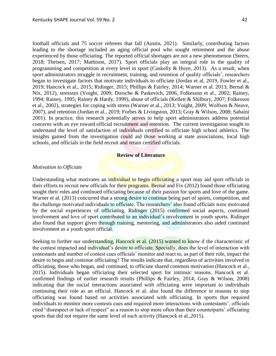football officials and 75 soccer referees that fall (Austin, 2021). Similarly, contributing factors leading to the shortage included an aging official pool who sought retirement and the abuse experienced by those officiating. The reported official shortages are not a new phenomenon (Steers, 2018; Theisen, 2017; Mathison, 2017). Sport officials play an integral role in the quality of programming and competition at every level in sport (Cuskelly & Hoye, 2013). As a result, when sport administrators struggle in recruitment, training, and retention of quality officials', researchers began to investigate factors that motivate individuals to officiate (Jordan et al, 2019, Fowler et al., 2019; Hancock et al., 2015; Ridinger, 2015; Phillips & Fairley, 2014; Warner et al. 2013; Bernal & Nix, 2012), stressors (Voight, 2009; Dorsche & Paskevich, 2006, Folkesson et al., 2002; Rainey, 1994; Rainey, 1995; Rainey & Hardy, 1999), abuse of officials (Kellett & Shilbury, 2007; Folkesson et al., 2002), strategies for coping with stress (Warner et al., 2013; Voight, 2009; Wolfson & Neave, 2007), and retention (Jordan et al., 2019; Forbes & Livingston, 2013; Gray & Wilson, 2008; Sabaini 2001). In practice, this research potentially serves to help sport administrators address potential concerns with an eye toward official recruitment and retention. The current investigation sought to understand the level of satisfaction of individuals certified to officiate high school athletics. The insights gained from the investigation could aid those working at state associations, local high schools, and officials in the field recruit and retain certified officials.

# **Review of Literature**

# *Motivation to Officiate*

Understanding what motivates an individual to begin officiating a sport may aid sport officials in their efforts to recruit new officials for their programs. Bernal and Fix (2012) found those officiating sought their roles and continued officiating because of their passion for sports and love of the game. Warner et al. (2013) concurred that a strong desire to continue being part of sports, competition, and the challenge motivated individuals to officiate. The researchers' also found officials were motivated by the social experiences of officiating. Ridinger (2015) confirmed social aspects, continued involvement and love of sport contributed to an individual's involvement in youth sports. Ridinger also found that support given through training, mentoring, and administrators also aided continued involvement as a youth sport official.

Seeking to further our understanding, Hancock et al. (2015) wanted to know if the characteristic of the contest impacted and individual's desire to officiate. Specially, does the level of interaction with contestants and number of contest cues officials' monitor and react to, as part of their role, impact the desire to begin and continue officiating? The results indicate that, regardless of activities involved in officiating, those who began, and continued, to officiate shared common motivation (Hancock et al., 2015). Individuals began officiating their selected sport for intrinsic reasons. Hancock et al. confirmed findings of earlier research results (Phillips & Fairley, 2014; Gray & Wilson, 2008) indicating that the social interactions associated with officiating were important to individuals continuing their role as an official. Hancock et al. also found the difference in reasons to stop officiating was found based on activities associated with officiating. In sports that required individuals to monitor more contests cues and required more interactions with contestants', officials cited "disrespect or lack of respect" as a reason to stop more often than their counterparts' officiating sports that did not require the same level of each activity (Hancock et al.,2015).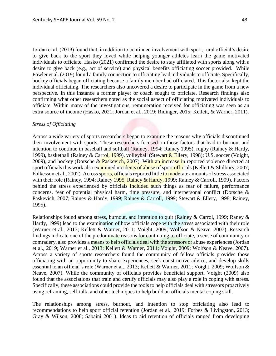Jordan et al. (2019) found that, in addition to continued involvement with sport, rural official's desire to give back to the sport they loved while helping younger athletes learn the game motivated individuals to officiate. Hasko (2021) confirmed the desire to stay affiliated with sports along with a desire to give back (e.g., act of service) and physical benefits officiating soccer provided. While Fowler et al. (2019) found a family connection to officiating lead individuals to officiate. Specifically, hockey officials began officiating because a family member had officiated. This factor also kept the individual officiating. The researchers also uncovered a desire to participate in the game from a new perspective. In this instance a former player or coach sought to officiate. Research findings also confirming what other researchers noted as the social aspect of officiating motivated individuals to officiate. Within many of the investigations, remuneration received for officiating was seen as an extra source of income (Hasko, 2021; Jordan et al., 2019; Ridinger, 2015; Kellett, & Warner, 2011).

# *Stress of Officiating*

Across a wide variety of sports researchers began to examine the reasons why officials discontinued their involvement with sports. These researchers focused on those factors that lead to burnout and intention to continue in baseball and softball (Rainey, 1994; Rainey 1995), rugby (Rainey & Hardy, 1999), basketball (Rainey & Carrol, 1999), volleyball (Stewart & Ellery, 1998); U.S. soccer (Voight, 2009), and hockey (Dorsche & Paskevich, 2007). With an increase in reported violence directed at sport officials this work also examined incidents of abuse of sport officials (Kellett & Shilbury, 2007; Folkesson et al., 2002). Across sports, officials reported little to moderate amounts of stress associated with their role (Rainey, 1994; Rainey 1995, Rainey & Hardy, 1999; Rainey & Carroll, 1999). Factors behind the stress experienced by officials included such things as fear of failure, performance concerns, fear of potential physical harm, time pressure, and interpersonal conflict (Dorsche & Paskevich, 2007; Rainey & Hardy, 1999; Rainey & Carroll, 1999; Stewart & Ellery, 1998; Rainey, 1995).

Relationships found among stress, burnout, and intention to quit (Rainey & Carrol, 1999; Raney & Hardy, 1999) lead to the examination of how officials cope with the stress associated with their role (Warner et al., 2013; Kellett & Warner, 2011; Voight, 2009; Wolfson & Neave, 2007). Research findings indicate one of the predominate reasons for continuing to officiate, a sense of community or comradery, also provides a means to help officials deal with the stressors or abuse experiences (Jordan et al., 2019; Warner et al., 2013; Kellett & Warner, 2011; Voight, 2009; Wolfson & Neave, 2007). Across a variety of sports researchers found the community of fellow officials provides those officiating with an opportunity to share experiences, seek constructive advice, and develop skills essential to an official's role (Warner et al., 2013; Kellett & Warner, 2011; Voight, 2009; Wolfson & Neave, 2007). While the community of officials provides beneficial support, Voight (2009) also found that the associations that train and certify officials may also play a role in coping with stress. Specifically, these associations could provide the tools to help officials deal with stressors proactively using reframing, self-talk, and other techniques to help build an officials mental coping skill.

The relationships among stress, burnout, and intention to stop officiating also lead to recommendations to help sport official retention (Jordan et al., 2019; Forbes & Livingston, 2013; Gray & Wilson, 2008; Sabaini 2001). Ideas to aid retention of officials ranged from developing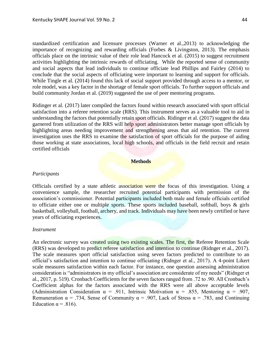standardized certification and licensure processes (Warner et al.,2013) to acknowledging the importance of recognizing and rewarding officials (Forbes & Livingston, 2013). The emphasis officials place on the intrinsic value of their role lead Hancock et al. (2015) to suggest recruitment activities highlighting the intrinsic rewards of officiating. While the reported sense of community and social aspects that lead individuals to continue officiate lead Phillips and Fairley (2014) to conclude that the social aspects of officiating were important to learning and support for officials. While Tingle et al. (2014) found this lack of social support provided through access to a mentor, or role model, was a key factor in the shortage of female sport officials. To further support officials and build community Jordan et al. (2019) suggested the use of peer mentoring programs.

Ridinger et al. (2017) later compiled the factors found within research associated with sport official satisfaction into a referee retention scale (RRS). This instrument serves as a valuable tool to aid in understanding the factors that potentially retain sport officials. Ridinger et al. (2017) suggest the data garnered from utilization of the RRS will help sport administrators better manage sport officials by highlighting areas needing improvement and strengthening areas that aid retention. The current investigation uses the RRS to examine the satisfaction of sport officials for the purpose of aiding those working at state associations, local high schools, and officials in the field recruit and retain certified officials

# **Methods**

# *Participants*

Officials certified by a state athletic association were the focus of this investigation. Using a convenience sample, the researcher recruited potential participants with permission of the association's commissioner. Potential participants included both male and female officials certified to officiate either one or multiple sports. These sports included baseball, softball, boys & girls basketball, volleyball, football, archery, and track. Individuals may have been newly certified or have years of officiating experiences.

#### *Instrument*

An electronic survey was created using two existing scales. The first, the Referee Retention Scale (RRS) was developed to predict referee satisfaction and intention to continue (Ridnger et al., 2017). The scale measures sport official satisfaction using seven factors predicted to contribute to an official's satisfaction and intention to continue officiating (Ridnger et al., 2017). A 4-point Likert scale measures satisfaction within each factor. For instance, one question assessing administration consideration is "administrators in my official's association are considerate of my needs" (Ridnger et al., 2017, p. 519). Cronbach Coefficients for the seven factors ranged from .72 to .90. All Cronbach's Coefficient alphas for the factors associated with the RRS were all above acceptable levels (Administration Consideration  $\alpha = .911$ , Intrinsic Motivation  $\alpha = .855$ , Mentoring  $\alpha = .907$ , Remuneration  $\alpha = .734$ , Sense of Community  $\alpha = .907$ , Lack of Stress  $\alpha = .783$ , and Continuing Education  $\alpha = .816$ ).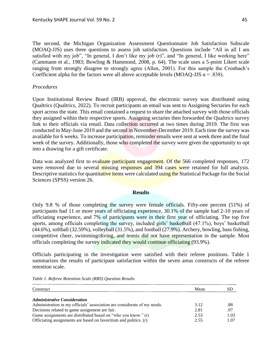The second, the Michigan Organization Assessment Questionnaire Job Satisfaction Subscale (MOAQ-JJS) uses three questions to assess job satisfaction. Questions include "All in all I am satisfied with my job", "In general, I don't like my job (r)", and "In general, I like working here" (Cammann et al., 1983; Bowling & Hammond, 2008, p. 64). The scale uses a 5-point Likert scale ranging from strongly disagree to strongly agree (Allen, 2001). For this sample the Cronbach's Coefficient alpha for the factors were all above acceptable levels (MOAQ-JJS  $\alpha$  = .838).

# *Procedures*

Upon Institutional Review Board (IRB) approval, the electronic survey was distributed using Qualtrics (Qualtrics, 2022). To recruit participants an email was sent to Assigning Sectaries for each sport across the state. This email contained a request to share the attached survey with those officials they assigned within their respective sports. Assigning sectaries then forwarded the Qualtrics survey link to their officials via email. Data collection occurred at two times during 2019. The first was conducted in May-June 2019 and the second in November-December 2019. Each time the survey was available for 6 weeks. To increase participation, reminder emails were sent at week three and the final week of the survey. Additionally, those who completed the survey were given the opportunity to opt into a drawing for a gift certificate.

Data was analyzed first to evaluate participant engagement. Of the 566 completed responses, 172 were removed due to several missing responses and 394 cases were retained for full analysis. Descriptive statistics for quantitative items were calculated using the Statistical Package for the Social Sciences (SPSS) version 26.

# **Results**

Only 9.8 % of those completing the survey were female officials. Fifty-one percent (51%) of participants had 11 or more years of officiating experience, 30.1% of the sample had 2-10 years of officiating experience, and 7% of participants were in their first year of officiating. The top five sports, among officials completing the survey, included girls' basketball (47.1%), boys' basketball (44.6%), softball (32.59%), volleyball (31.5%), and football (27.9%). Archery, bowling, bass fishing, competitive cheer, swimming/diving, and tennis did not have representation in the sample. Most officials completing the survey indicated they would continue officiating (93.9%).

Officials participating in the investigation were satisfied with their referee positions. Table 1 summarizes the results of participant satisfaction within the seven areas constructs of the referee retention scale.

| Construct                                                                | Mean | -SD  |
|--------------------------------------------------------------------------|------|------|
| <b>Administrative Consideration</b>                                      |      |      |
| Administration in my officials' association are considerate of my needs. | 3.12 | .88  |
| Decisions related to game assignment are fair.                           | 2.81 | .97  |
| Game assignments are distributed based on "who you know." (r)            | 2.53 | 1.03 |
| Officiating assignments are based on favoritism and politics. (r)        | 2.55 | 1.07 |

*Table 1. Referee Retention Scale (RRS) Question Results*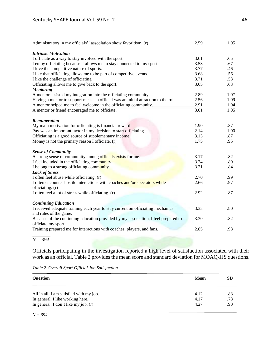| Administrators in my officials" association show favoritism. (r)                                | 2.59 | 1.05 |
|-------------------------------------------------------------------------------------------------|------|------|
| <b>Intrinsic Motivation</b>                                                                     |      |      |
| I officiate as a way to stay involved with the sport.                                           | 3.61 | .65  |
| I enjoy officiating because it allows me to stay connected to my sport.                         | 3.58 | .67  |
| I love the competitive nature of sports.                                                        | 3.77 | .46  |
| I like that officiating allows me to be part of competitive events.                             | 3.68 | .56  |
| I like the challenge of officiating.                                                            | 3.71 | .53  |
| Officiating allows me to give back to the sport.                                                | 3.65 | .63  |
| <b>Mentoring</b>                                                                                |      |      |
| A mentor assisted my integration into the officiating community.                                | 2.89 | 1.07 |
| Having a mentor to support me as an official was an initial attraction to the role.             | 2.56 | 1.09 |
| A mentor helped me to feel welcome in the officiating community.                                | 2.91 | 1.04 |
| A mentor or friend encouraged me to officiate.                                                  | 3.01 | 1.05 |
|                                                                                                 |      |      |
| <b>Remuneration</b>                                                                             |      |      |
| My main motivation for officiating is financial reward.                                         | 1.90 | .87  |
| Pay was an important factor in my decision to start officiating.                                | 2.14 | 1.00 |
| Officiating is a good source of supplementary income.                                           | 3.13 | .87  |
| Money is not the primary reason I officiate. (r)                                                | 1.75 | .95  |
|                                                                                                 |      |      |
| <b>Sense of Community</b>                                                                       |      |      |
| A strong sense of community among officials exists for me.                                      | 3.17 | .82  |
| I feel included in the officiating community.                                                   | 3.24 | .80  |
| I belong to a strong officiating community.                                                     | 3.21 | .84  |
| <b>Lack of Stress</b>                                                                           | 2.70 | .99  |
| I often feel abuse while officiating. (r)                                                       | 2.66 | .97  |
| I often encounter hostile interactions with coaches and/or spectators while<br>officiating. (r) |      |      |
| I often feel a lot of stress while officiating. (r)                                             | 2.92 | .87  |
|                                                                                                 |      |      |
| <b>Continuing Education</b>                                                                     |      |      |
| I received adequate training each year to stay current on officiating mechanics                 | 3.33 | .80  |
| and rules of the game.                                                                          |      |      |
| Because of the continuing education provided by my association, I feel prepared to              | 3.30 | .82  |
| officiate my sport.                                                                             |      |      |
| Training prepared me for interactions with coaches, players, and fans.                          | 2.85 | .98  |
|                                                                                                 |      |      |

*N = 394*

Officials participating in the investigation reported a high level of satisfaction associated with their work as an official. Table 2 provides the mean score and standard deviation for MOAQ-JJS questions.

|  |  | Table 2. Overall Sport Official Job Satisfaction |
|--|--|--------------------------------------------------|
|  |  |                                                  |

| <b>Question</b>                                                            | <b>Mean</b>  | <b>SD</b>  |
|----------------------------------------------------------------------------|--------------|------------|
| All in all, I am satisfied with my job.                                    | 4.12         | .83        |
| In general, I like working here.<br>In general, I don't like my job. $(r)$ | 4.17<br>4.27 | .78<br>.90 |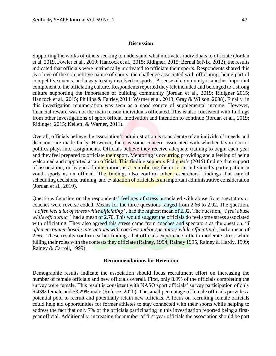Supporting the works of others seeking to understand what motivates individuals to officiate (Jordan et al, 2019, Fowler et al., 2019; Hancock et al., 2015; Ridigner, 2015; Bernal & Nix, 2012), the results indicated that officials were intrinsically motivated to officiate their sports. Respondents shared this as a love of the competitive nature of sports, the challenge associated with officiating, being part of competitive events, and a way to stay involved in sports. A sense of community is another important component to the officiating culture. Respondents reported they felt included and belonged to a strong culture supporting the importance of building community (Jordan et al., 2019; Ridigner 2015; Hancock et al., 2015; Phillips & Fairley,2014; Warner et al. 2013; Gray & Wilson, 2008). Finally, in this investigation renumeration was seen as a good source of supplemental income. However, financial reward was not the main reason individuals officiated. This is also consistent with findings from other investigations of sport official motivation and intention to continue (Jordan et al., 2019; Ridinger, 2015; Kellett, & Warner, 2011).

Overall, officials believe the association's administration is considerate of an individual's needs and decisions are made fairly. However, there is some concern associated with whether favoritism or politics plays into assignments. Officials believe they receive adequate training to begin each year and they feel prepared to officiate their sport. Mentoring is occurring providing and a feeling of being welcomed and supported as an official. This finding supports Ridigner's (2015) finding that support of association, or league administration, is a contributing factor to an individual's participation in youth sports as an official. The findings also confirm other researchers' findings that careful scheduling decisions, training, and evaluation of officials is an important administrative consideration (Jordan et al., 2019).

Questions focusing on the respondents' feelings of stress associated with abuse from spectators or coaches were reverse coded. Means for the three questions ranged from 2.66 to 2.92. The question, "*I often feel a lot of stress while officiating",* had the highest mean of 2.92. The question, "*I feel abuse while officiating",* had a mean of 2.70. This would suggest the officials do feel some stress associated with officiating. They also agreed this stress came from coaches and spectators as the question, "*I often encounter hostile interactions with coaches and/or spectators while officiating*", had a mean of 2.66. These results confirm earlier findings that officials experience little to moderate stress while fulling their roles with the contests they officiate (Rainey, 1994; Rainey 1995, Rainey & Hardy, 1999; Rainey & Carroll, 1999).

#### **Recommendations for Retention**

Demographic results indicate the association should focus recruitment effort on increasing the number of female officials and new officials overall. First, only 8.9% of the officials completing the survey were female. This result is consistent with NASO sport officials' survey participation of only 6.43% female and 53.29% male (Referee, 2020). The small percentage of female officials provides a potential pool to recruit and potentially retain new officials. A focus on recruiting female officials could help aid opportunities for former athletes to stay connected with their sports while helping to address the fact that only 7% of the officials participating in this investigation reported being a firstyear official. Additionally, increasing the number of first year officials the association should be part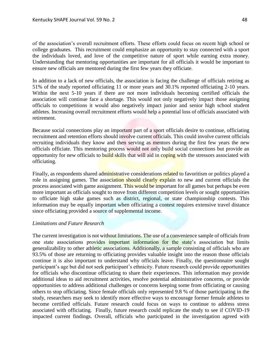of the association's overall recruitment efforts. These efforts could focus on recent high school or college graduates. This recruitment could emphasize an opportunity to stay connected with a sport the individuals loved, and love of the competitive nature of sport while earning extra money. Understanding that mentoring opportunities are important for all officials it would be important to ensure new officials are mentored during the first few years they officiate.

In addition to a lack of new officials, the association is facing the challenge of officials retiring as 51% of the study reported officiating 11 or more years and 30.1% reported officiating 2-10 years. Within the next 5-10 years if there are not more individuals becoming certified officials the association will continue face a shortage. This would not only negatively impact those assigning officials to competitions it would also negatively impact junior and senior high school student athletes. Increasing overall recruitment efforts would help a potential loss of officials associated with retirement.

Because social connections play an important part of a sport officials desire to continue, officiating recruitment and retention efforts should involve current officials. This could involve current officials recruiting individuals they know and then serving as mentors during the first few years the new officials officiate. This mentoring process would not only build social connections but provide an opportunity for new officials to build skills that will aid in coping with the stressors associated with officiating.

Finally, as respondents shared administrative considerations related to favoritism or politics played a role in assigning games. The association should clearly explain to new and current officials the process associated with game assignment. This would be important for all games but perhaps be even more important as officials sought to move from different competition levels or sought opportunities to officiate high stake games such as district, regional, or state championship contests. This information may be equally important when officiating a contest requires extensive travel distance since officiating provided a source of supplemental income.

# *Limitations and Future Research*

The current investigation is not without limitations. The use of a convenience sample of officials from one state associations provides important information for the state's association but limits generalizability to other athletic associations. Additionally, a sample consisting of officials who are 93.5% of those are returning to officiating provides valuable insight into the reason those officials continue it is also important to understand why officials leave. Finally, the questionnaire sought participant's age but did not seek participant's ethnicity. Future research could provide opportunities for officials who discontinue officiating to share their experiences. This information may provide additional ideas to aid recruitment activities, resolve potential administrative concerns, or provide opportunities to address additional challenges or concerns keeping some from officiating or causing others to stop officiating. Since female officials only represented 9.8 % of those participating in the study, researchers may seek to identify more effective ways to encourage former female athletes to become certified officials. Future research could focus on ways to continue to address stress associated with officiating. Finally, future research could replicate the study to see if COVID-19 impacted current findings. Overall, officials who participated in the investigation agreed with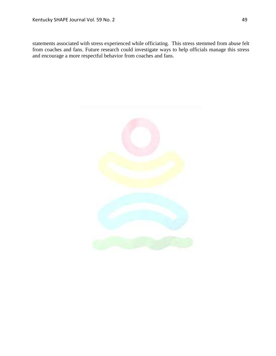statements associated with stress experienced while officiating. This stress stemmed from abuse felt from coaches and fans. Future research could investigate ways to help officials manage this stress and encourage a more respectful behavior from coaches and fans.

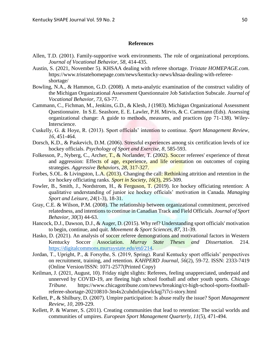# **References**

- Allen, T.D. (2001). Family-supportive work environments. The role of organizational perceptions. *Journal of Vocational Behavior, 58*, 414-435.
- Austin, S. (2021, November 5). KHSAA dealing with referee shortage. *Tristate HOMEPAGE.com*. https://www.tristatehomepage.com/news/kentucky-news/khsaa-dealing-with-refereeshortage/
- Bowling, N.A., & Hammon, G.D. (2008). A meta-analytic examination of the construct validity of the Michigan Organizational Assessment Questionnaire Job Satisfaction Subscale. *Journal of Vocational Behavior, 73*, 63-77.
- Cammann, C., Fichman, M., Jenkins, G.D., & Klesh, J (1983). Michigan Organizational Assessment Questionnaire. In S.E. Seashore, E. E. Lawler, P.H. Mirvis, & C. Cammann (Eds). Assessing organizational change: A guide to methods, measures, and practices (pp 71-138). Wiley-Interscience.
- Cuskelly, G. & Hoye, R. (2013). Sport officials' intention to continue. *Sport Management Review, 16*, 451-464.
- Dorsch, K.D., & Paskevich, D.M. (2006). Stressful experiences among six certification levels of ice hockey officials. *Psychology of Sport and Exercise, 8*, 585-593.
- Folkesson, P., Nyberg, C., Archer, T., & Norlander, T. (2002). Soccer referees' experience of threat and aggression: Effects of age, experience, and life orientation on outcomes of coping strategies. *Aggressive Behaviors, 28*, 317-327.
- Forbes, S.OL. & Livingston, L.A. (2013). Changing the call: Rethinking attrition and retention in the ice hockey officiating ranks. *Sport in Society, 16*(3), 295-309.
- Fowler, B., Smith, J., Nordstrom, H., & Ferguson, T. (2019). Ice hockey officiating retention: A qualitative understanding of junior ice hockey officials' motivation in Canada. *Managing Sport and Leisure, 24*(1-3), 18-31.
- Gray, C.E. & Wilson, P.M. (2008). The relationship between organizational commitment, perceived relatedness, and intentions to continue in Canadian Track and Field Officials. *Journal of Sport Behavior, 30*(3) 44-63.
- Hancock, D.J., Dawson, D.J., & Auger, D. (2015). Why ref? Understanding sport officials' motivation to begin, continue, and quit. *Movement & Sport Sciences, 87*, 31-39.
- Hasko, D. (2021). An analysis of soccer referee demongrations and motivational factors in Western Kentucky Soccer Association. *Murray State Theses and Dissertation.* 214. [https://digitalcommons.murraystate.edu/etd/214.](https://digitalcommons.murraystate.edu/etd/214)
- Jordan, T., Upright, P., & Forsythe, S. (2019, Spring). Rural Kentucky sport officials' perspectives on recruitment, training, and retention. *KAHPERD Journal, 56*(2), 59-72. ISSN: 2333-7419 (Online Version/ISSN: 1071-2577(Printed Copy)
- Keilman, J. (2021, August, 10). Friday night slights: Referees, feeling unappreciated, underpaid and unnerved by COVID-19, are fleeing high school football and other youth sports. *Chicago Tribune*. https://www.chicagotribune.com/news/breaking/ct-high-school-sports-footballreferee-shortage-20210810-3m4x2cuhdnfujiewlckqj7i7ci-story.html
- Kellett, P., & Shilbury, D. (2007). Umpire participation: Is abuse really the issue? Sport *Management Review, 10*, 209-229.
- Kellett, P. & Warner, S. (2011). Creating communities that lead to retention: The social worlds and communities of umpires. *European Sport Management Quarterly, 11*(5), 471-494.